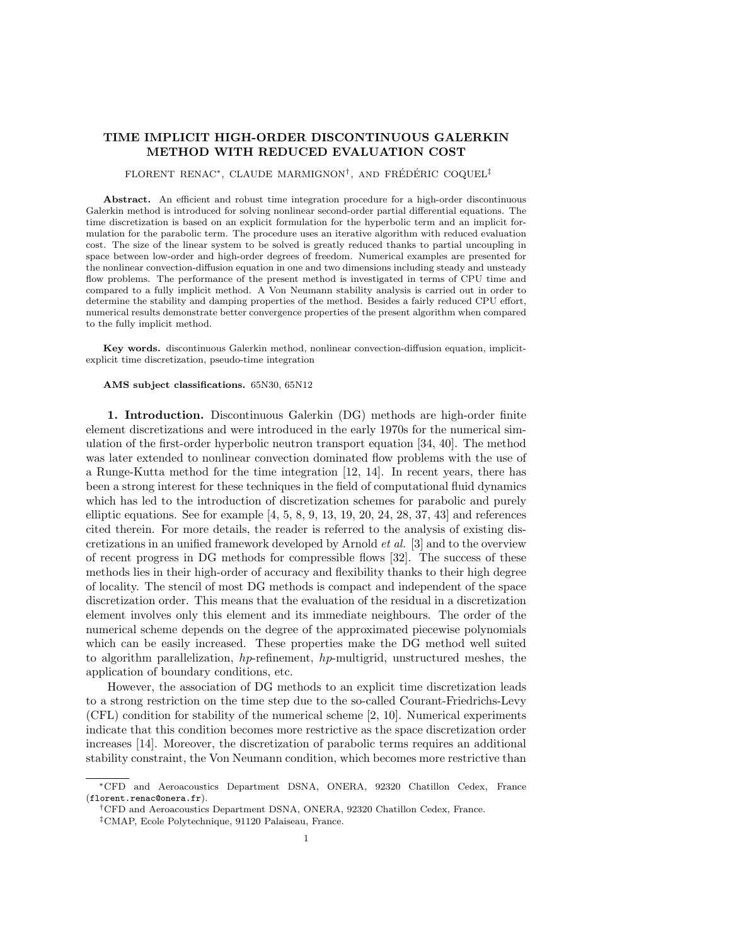# TIME IMPLICIT HIGH-ORDER DISCONTINUOUS GALERKIN METHOD WITH REDUCED EVALUATION COST

## $FLORENT$  RENAC<sup>\*</sup>, CLAUDE MARMIGNON<sup>†</sup>, AND FRÉDÉRIC COQUEL<sup>‡</sup>

Abstract. An efficient and robust time integration procedure for a high-order discontinuous Galerkin method is introduced for solving nonlinear second-order partial differential equations. The time discretization is based on an explicit formulation for the hyperbolic term and an implicit formulation for the parabolic term. The procedure uses an iterative algorithm with reduced evaluation cost. The size of the linear system to be solved is greatly reduced thanks to partial uncoupling in space between low-order and high-order degrees of freedom. Numerical examples are presented for the nonlinear convection-diffusion equation in one and two dimensions including steady and unsteady flow problems. The performance of the present method is investigated in terms of CPU time and compared to a fully implicit method. A Von Neumann stability analysis is carried out in order to determine the stability and damping properties of the method. Besides a fairly reduced CPU effort, numerical results demonstrate better convergence properties of the present algorithm when compared to the fully implicit method.

Key words. discontinuous Galerkin method, nonlinear convection-diffusion equation, implicitexplicit time discretization, pseudo-time integration

#### AMS subject classifications. 65N30, 65N12

1. Introduction. Discontinuous Galerkin (DG) methods are high-order finite element discretizations and were introduced in the early 1970s for the numerical simulation of the first-order hyperbolic neutron transport equation [34, 40]. The method was later extended to nonlinear convection dominated flow problems with the use of a Runge-Kutta method for the time integration [12, 14]. In recent years, there has been a strong interest for these techniques in the field of computational fluid dynamics which has led to the introduction of discretization schemes for parabolic and purely elliptic equations. See for example  $[4, 5, 8, 9, 13, 19, 20, 24, 28, 37, 43]$  and references cited therein. For more details, the reader is referred to the analysis of existing discretizations in an unified framework developed by Arnold et al. [3] and to the overview of recent progress in DG methods for compressible flows [32]. The success of these methods lies in their high-order of accuracy and flexibility thanks to their high degree of locality. The stencil of most DG methods is compact and independent of the space discretization order. This means that the evaluation of the residual in a discretization element involves only this element and its immediate neighbours. The order of the numerical scheme depends on the degree of the approximated piecewise polynomials which can be easily increased. These properties make the DG method well suited to algorithm parallelization, hp-refinement, hp-multigrid, unstructured meshes, the application of boundary conditions, etc.

However, the association of DG methods to an explicit time discretization leads to a strong restriction on the time step due to the so-called Courant-Friedrichs-Levy (CFL) condition for stability of the numerical scheme [2, 10]. Numerical experiments indicate that this condition becomes more restrictive as the space discretization order increases [14]. Moreover, the discretization of parabolic terms requires an additional stability constraint, the Von Neumann condition, which becomes more restrictive than

<sup>∗</sup>CFD and Aeroacoustics Department DSNA, ONERA, 92320 Chatillon Cedex, France (florent.renac@onera.fr).

<sup>†</sup>CFD and Aeroacoustics Department DSNA, ONERA, 92320 Chatillon Cedex, France.

<sup>‡</sup>CMAP, Ecole Polytechnique, 91120 Palaiseau, France.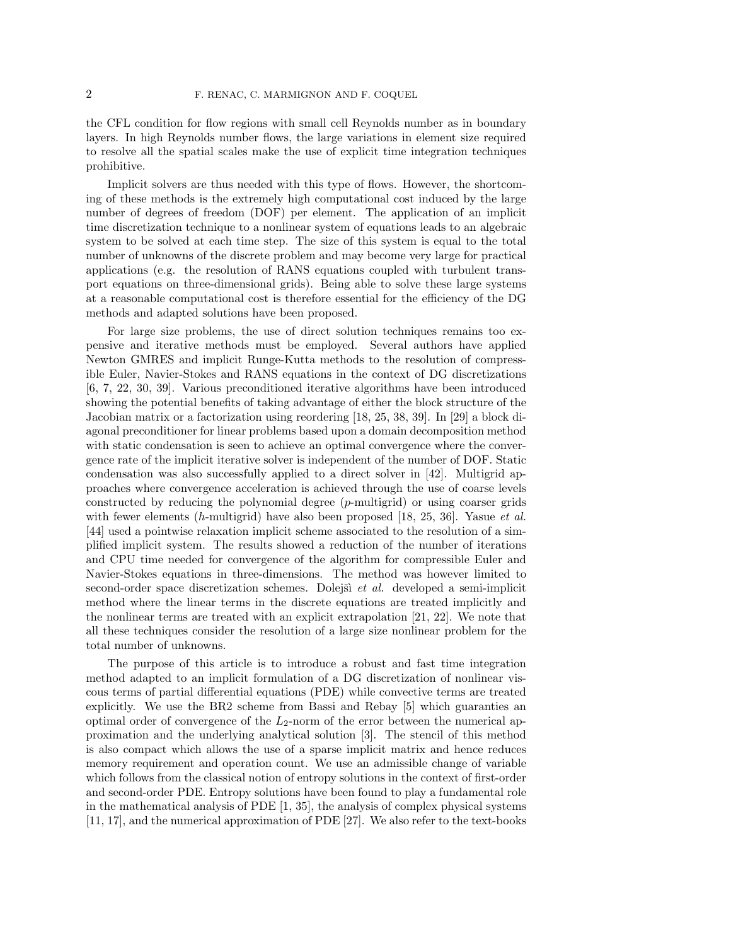the CFL condition for flow regions with small cell Reynolds number as in boundary layers. In high Reynolds number flows, the large variations in element size required to resolve all the spatial scales make the use of explicit time integration techniques prohibitive.

Implicit solvers are thus needed with this type of flows. However, the shortcoming of these methods is the extremely high computational cost induced by the large number of degrees of freedom (DOF) per element. The application of an implicit time discretization technique to a nonlinear system of equations leads to an algebraic system to be solved at each time step. The size of this system is equal to the total number of unknowns of the discrete problem and may become very large for practical applications (e.g. the resolution of RANS equations coupled with turbulent transport equations on three-dimensional grids). Being able to solve these large systems at a reasonable computational cost is therefore essential for the efficiency of the DG methods and adapted solutions have been proposed.

For large size problems, the use of direct solution techniques remains too expensive and iterative methods must be employed. Several authors have applied Newton GMRES and implicit Runge-Kutta methods to the resolution of compressible Euler, Navier-Stokes and RANS equations in the context of DG discretizations [6, 7, 22, 30, 39]. Various preconditioned iterative algorithms have been introduced showing the potential benefits of taking advantage of either the block structure of the Jacobian matrix or a factorization using reordering [18, 25, 38, 39]. In [29] a block diagonal preconditioner for linear problems based upon a domain decomposition method with static condensation is seen to achieve an optimal convergence where the convergence rate of the implicit iterative solver is independent of the number of DOF. Static condensation was also successfully applied to a direct solver in [42]. Multigrid approaches where convergence acceleration is achieved through the use of coarse levels constructed by reducing the polynomial degree  $(p$ -multigrid) or using coarser grids with fewer elements  $(h$ -multigrid) have also been proposed [18, 25, 36]. Yasue *et al.* [44] used a pointwise relaxation implicit scheme associated to the resolution of a simplified implicit system. The results showed a reduction of the number of iterations and CPU time needed for convergence of the algorithm for compressible Euler and Navier-Stokes equations in three-dimensions. The method was however limited to second-order space discretization schemes. Dolejšì et al. developed a semi-implicit method where the linear terms in the discrete equations are treated implicitly and the nonlinear terms are treated with an explicit extrapolation [21, 22]. We note that all these techniques consider the resolution of a large size nonlinear problem for the total number of unknowns.

The purpose of this article is to introduce a robust and fast time integration method adapted to an implicit formulation of a DG discretization of nonlinear viscous terms of partial differential equations (PDE) while convective terms are treated explicitly. We use the BR2 scheme from Bassi and Rebay [5] which guaranties an optimal order of convergence of the  $L_2$ -norm of the error between the numerical approximation and the underlying analytical solution [3]. The stencil of this method is also compact which allows the use of a sparse implicit matrix and hence reduces memory requirement and operation count. We use an admissible change of variable which follows from the classical notion of entropy solutions in the context of first-order and second-order PDE. Entropy solutions have been found to play a fundamental role in the mathematical analysis of PDE [1, 35], the analysis of complex physical systems [11, 17], and the numerical approximation of PDE [27]. We also refer to the text-books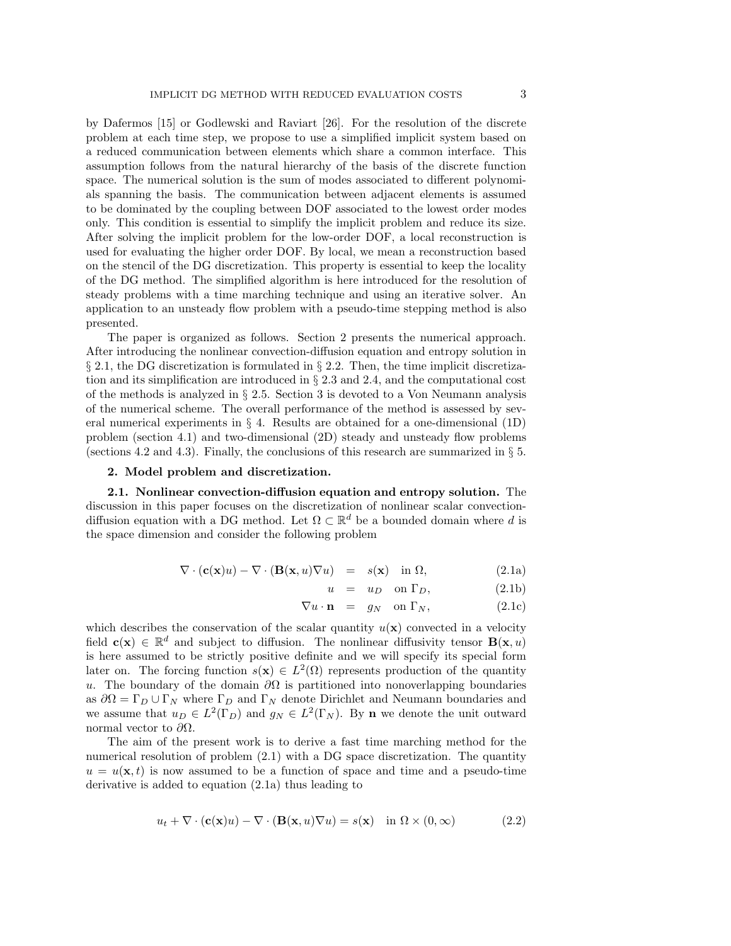by Dafermos [15] or Godlewski and Raviart [26]. For the resolution of the discrete problem at each time step, we propose to use a simplified implicit system based on a reduced communication between elements which share a common interface. This assumption follows from the natural hierarchy of the basis of the discrete function space. The numerical solution is the sum of modes associated to different polynomials spanning the basis. The communication between adjacent elements is assumed to be dominated by the coupling between DOF associated to the lowest order modes only. This condition is essential to simplify the implicit problem and reduce its size. After solving the implicit problem for the low-order DOF, a local reconstruction is used for evaluating the higher order DOF. By local, we mean a reconstruction based on the stencil of the DG discretization. This property is essential to keep the locality of the DG method. The simplified algorithm is here introduced for the resolution of steady problems with a time marching technique and using an iterative solver. An application to an unsteady flow problem with a pseudo-time stepping method is also presented.

The paper is organized as follows. Section 2 presents the numerical approach. After introducing the nonlinear convection-diffusion equation and entropy solution in  $\S 2.1$ , the DG discretization is formulated in  $\S 2.2$ . Then, the time implicit discretization and its simplification are introduced in § 2.3 and 2.4, and the computational cost of the methods is analyzed in § 2.5. Section 3 is devoted to a Von Neumann analysis of the numerical scheme. The overall performance of the method is assessed by several numerical experiments in  $\S$  4. Results are obtained for a one-dimensional (1D) problem (section 4.1) and two-dimensional (2D) steady and unsteady flow problems (sections 4.2 and 4.3). Finally, the conclusions of this research are summarized in  $\S 5$ .

## 2. Model problem and discretization.

2.1. Nonlinear convection-diffusion equation and entropy solution. The discussion in this paper focuses on the discretization of nonlinear scalar convectiondiffusion equation with a DG method. Let  $\Omega \subset \mathbb{R}^d$  be a bounded domain where d is the space dimension and consider the following problem

$$
\nabla \cdot (\mathbf{c}(\mathbf{x})u) - \nabla \cdot (\mathbf{B}(\mathbf{x}, u)\nabla u) = s(\mathbf{x}) \text{ in } \Omega,
$$
\n(2.1a)

$$
u = u_D \quad \text{on } \Gamma_D,\tag{2.1b}
$$

$$
\nabla u \cdot \mathbf{n} = g_N \quad \text{on } \Gamma_N,\tag{2.1c}
$$

which describes the conservation of the scalar quantity  $u(\mathbf{x})$  convected in a velocity field  $c(x) \in \mathbb{R}^d$  and subject to diffusion. The nonlinear diffusivity tensor  $B(x, u)$ is here assumed to be strictly positive definite and we will specify its special form later on. The forcing function  $s(\mathbf{x}) \in L^2(\Omega)$  represents production of the quantity u. The boundary of the domain  $\partial\Omega$  is partitioned into nonoverlapping boundaries as  $\partial\Omega = \Gamma_D \cup \Gamma_N$  where  $\Gamma_D$  and  $\Gamma_N$  denote Dirichlet and Neumann boundaries and we assume that  $u_D \in L^2(\Gamma_D)$  and  $g_N \in L^2(\Gamma_N)$ . By **n** we denote the unit outward normal vector to  $\partial Ω$ .

The aim of the present work is to derive a fast time marching method for the numerical resolution of problem  $(2.1)$  with a DG space discretization. The quantity  $u = u(\mathbf{x}, t)$  is now assumed to be a function of space and time and a pseudo-time derivative is added to equation (2.1a) thus leading to

$$
u_t + \nabla \cdot (\mathbf{c}(\mathbf{x})u) - \nabla \cdot (\mathbf{B}(\mathbf{x}, u)\nabla u) = s(\mathbf{x}) \quad \text{in } \Omega \times (0, \infty)
$$
 (2.2)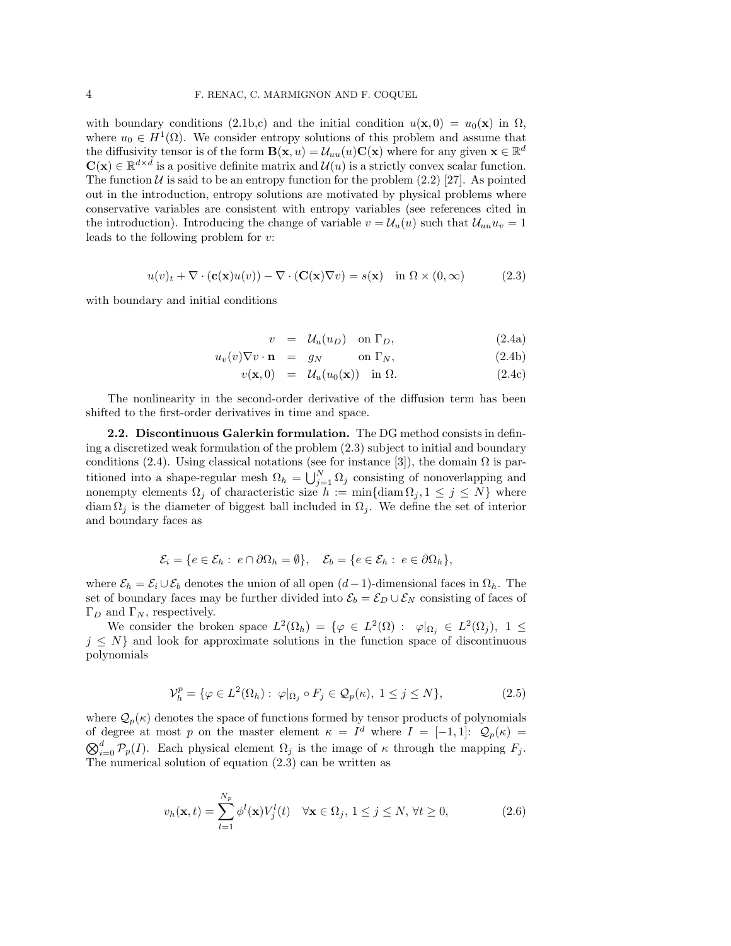with boundary conditions (2.1b,c) and the initial condition  $u(\mathbf{x},0) = u_0(\mathbf{x})$  in  $\Omega$ , where  $u_0 \in H^1(\Omega)$ . We consider entropy solutions of this problem and assume that the diffusivity tensor is of the form  $\mathbf{B}(\mathbf{x}, u) = \mathcal{U}_{uu}(u)\mathbf{C}(\mathbf{x})$  where for any given  $\mathbf{x} \in \mathbb{R}^d$  $\mathbf{C}(\mathbf{x}) \in \mathbb{R}^{d \times d}$  is a positive definite matrix and  $\mathcal{U}(u)$  is a strictly convex scalar function. The function U is said to be an entropy function for the problem  $(2.2)$  [27]. As pointed out in the introduction, entropy solutions are motivated by physical problems where conservative variables are consistent with entropy variables (see references cited in the introduction). Introducing the change of variable  $v = \mathcal{U}_u(u)$  such that  $\mathcal{U}_{uu}u_v = 1$ leads to the following problem for v:

$$
u(v)_t + \nabla \cdot (\mathbf{c}(\mathbf{x})u(v)) - \nabla \cdot (\mathbf{C}(\mathbf{x})\nabla v) = s(\mathbf{x}) \quad \text{in } \Omega \times (0, \infty)
$$
 (2.3)

with boundary and initial conditions

$$
v = \mathcal{U}_u(u_D) \quad \text{on } \Gamma_D,\tag{2.4a}
$$

$$
u_v(v)\nabla v \cdot \mathbf{n} = g_N \qquad \text{on } \Gamma_N,\tag{2.4b}
$$

$$
v(\mathbf{x},0) = \mathcal{U}_u(u_0(\mathbf{x})) \text{ in } \Omega. \tag{2.4c}
$$

The nonlinearity in the second-order derivative of the diffusion term has been shifted to the first-order derivatives in time and space.

2.2. Discontinuous Galerkin formulation. The DG method consists in defining a discretized weak formulation of the problem (2.3) subject to initial and boundary conditions (2.4). Using classical notations (see for instance [3]), the domain  $\Omega$  is partitioned into a shape-regular mesh  $\Omega_h = \bigcup_{j=1}^N \Omega_j$  consisting of nonoverlapping and nonempty elements  $\Omega_j$  of characteristic size  $h := \min\{\text{diam } \Omega_j, 1 \leq j \leq N\}$  where diam  $\Omega_i$  is the diameter of biggest ball included in  $\Omega_i$ . We define the set of interior and boundary faces as

$$
\mathcal{E}_i = \{ e \in \mathcal{E}_h : e \cap \partial \Omega_h = \emptyset \}, \quad \mathcal{E}_b = \{ e \in \mathcal{E}_h : e \in \partial \Omega_h \},
$$

where  $\mathcal{E}_h = \mathcal{E}_i \cup \mathcal{E}_b$  denotes the union of all open  $(d-1)$ -dimensional faces in  $\Omega_h$ . The set of boundary faces may be further divided into  $\mathcal{E}_b = \mathcal{E}_D \cup \mathcal{E}_N$  consisting of faces of  $\Gamma_D$  and  $\Gamma_N$ , respectively.

We consider the broken space  $L^2(\Omega_h) = \{ \varphi \in L^2(\Omega) : \varphi|_{\Omega_j} \in L^2(\Omega_j), 1 \leq \varphi \}$  $j \leq N$  and look for approximate solutions in the function space of discontinuous polynomials

$$
\mathcal{V}_h^p = \{ \varphi \in L^2(\Omega_h) : \varphi|_{\Omega_j} \circ F_j \in \mathcal{Q}_p(\kappa), 1 \le j \le N \},\tag{2.5}
$$

where  $\mathcal{Q}_p(\kappa)$  denotes the space of functions formed by tensor products of polynomials of degree at most p on the master element  $\kappa = I^d$  where  $I = [-1,1]$ :  $\mathcal{Q}_p(\kappa) =$  $\bigotimes_{i=0}^d \mathcal{P}_p(I)$ . Each physical element  $\Omega_j$  is the image of  $\kappa$  through the mapping  $F_j$ . The numerical solution of equation (2.3) can be written as

$$
v_h(\mathbf{x}, t) = \sum_{l=1}^{N_p} \phi^l(\mathbf{x}) V_j^l(t) \quad \forall \mathbf{x} \in \Omega_j, \ 1 \le j \le N, \ \forall t \ge 0,
$$
\n(2.6)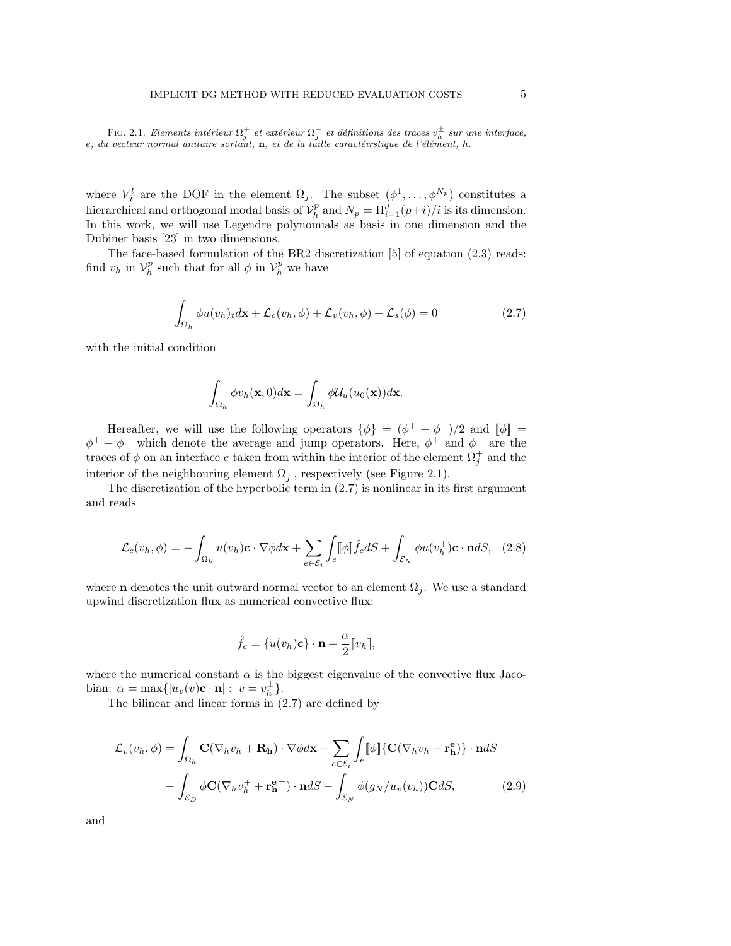FIG. 2.1. Elements intérieur  $\Omega_j^+$  et extérieur  $\Omega_j^-$  et définitions des traces  $v_h^{\pm}$  sur une interface,  $e, du$  vecteur normal unitaire sortant,  $n$ , et de la taılle caractéirstique de l'élément, h.

where  $V_j^l$  are the DOF in the element  $\Omega_j$ . The subset  $(\phi^1, \ldots, \phi^{N_p})$  constitutes a hierarchical and orthogonal modal basis of  $\mathcal{V}_h^p$  and  $N_p = \Pi_{i=1}^d (p+i)/i$  is its dimension. In this work, we will use Legendre polynomials as basis in one dimension and the Dubiner basis [23] in two dimensions.

The face-based formulation of the BR2 discretization [5] of equation (2.3) reads: find  $v_h$  in  $\mathcal{V}_h^p$  such that for all  $\phi$  in  $\mathcal{V}_h^p$  we have

$$
\int_{\Omega_h} \phi u(v_h)_t d\mathbf{x} + \mathcal{L}_c(v_h, \phi) + \mathcal{L}_v(v_h, \phi) + \mathcal{L}_s(\phi) = 0
$$
\n(2.7)

with the initial condition

$$
\int_{\Omega_h} \phi v_h(\mathbf{x}, 0) d\mathbf{x} = \int_{\Omega_h} \phi \mathcal{U}_u(u_0(\mathbf{x})) d\mathbf{x}.
$$

Hereafter, we will use the following operators  $\{\phi\} = (\phi^+ + \phi^-)/2$  and  $[\![\phi]\!] =$  $\phi^+ - \phi^-$  which denote the average and jump operators. Here,  $\phi^+$  and  $\phi^-$  are the traces of  $\phi$  on an interface e taken from within the interior of the element  $\Omega_j^+$  and the interior of the neighbouring element  $\Omega_j^-$ , respectively (see Figure 2.1).

The discretization of the hyperbolic term in (2.7) is nonlinear in its first argument and reads

$$
\mathcal{L}_c(v_h, \phi) = -\int_{\Omega_h} u(v_h) \mathbf{c} \cdot \nabla \phi d\mathbf{x} + \sum_{e \in \mathcal{E}_i} \int_e [\phi] \hat{f}_c dS + \int_{\mathcal{E}_N} \phi u(v_h^+) \mathbf{c} \cdot \mathbf{n} dS, \quad (2.8)
$$

where **n** denotes the unit outward normal vector to an element  $\Omega_i$ . We use a standard upwind discretization flux as numerical convective flux:

$$
\hat{f}_c = \{u(v_h)\mathbf{c}\}\cdot\mathbf{n} + \frac{\alpha}{2}[\![v_h]\!],
$$

where the numerical constant  $\alpha$  is the biggest eigenvalue of the convective flux Jacobian:  $\alpha = \max\{|u_v(v)\mathbf{c} \cdot \mathbf{n}| : v = v_h^{\pm}\}.$ 

The bilinear and linear forms in (2.7) are defined by

$$
\mathcal{L}_{v}(v_{h}, \phi) = \int_{\Omega_{h}} \mathbf{C}(\nabla_{h}v_{h} + \mathbf{R}_{h}) \cdot \nabla \phi d\mathbf{x} - \sum_{e \in \mathcal{E}_{i}} \int_{e} [\![\phi]\!] \{ \mathbf{C}(\nabla_{h}v_{h} + \mathbf{r}_{h}^{e}) \} \cdot \mathbf{n} dS
$$

$$
- \int_{\mathcal{E}_{D}} \phi \mathbf{C}(\nabla_{h}v_{h}^{+} + \mathbf{r}_{h}^{e+}) \cdot \mathbf{n} dS - \int_{\mathcal{E}_{N}} \phi(g_{N}/u_{v}(v_{h})) \mathbf{C} dS, \qquad (2.9)
$$

and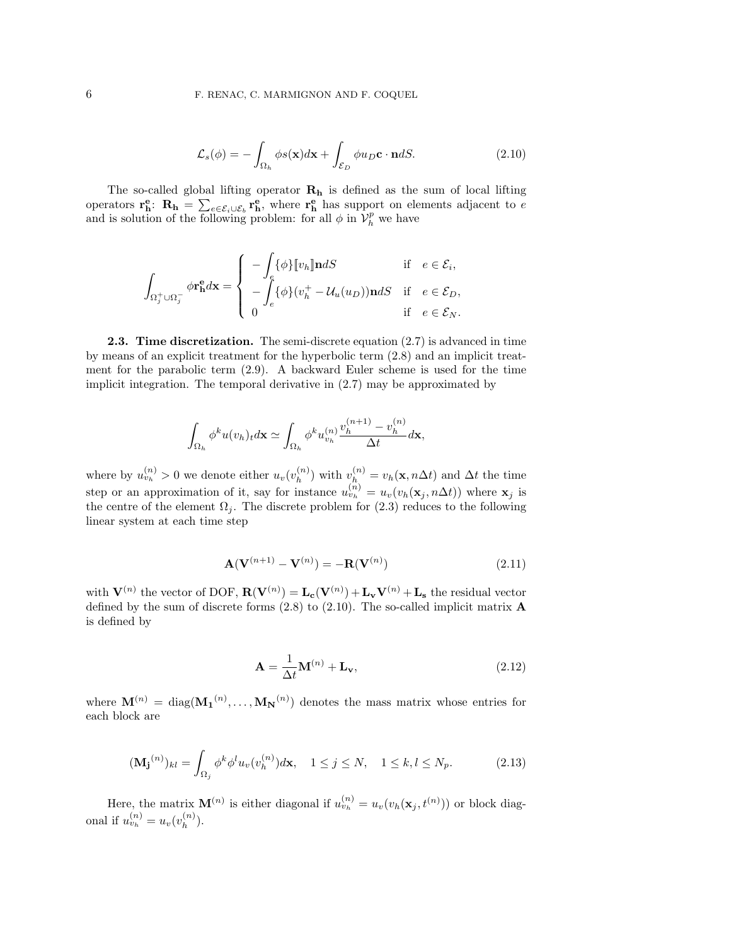$$
\mathcal{L}_s(\phi) = -\int_{\Omega_h} \phi s(\mathbf{x}) d\mathbf{x} + \int_{\mathcal{E}_D} \phi u_D \mathbf{c} \cdot \mathbf{n} dS.
$$
 (2.10)

The so-called global lifting operator  $\mathbf{R}_{h}$  is defined as the sum of local lifting operators  $\mathbf{r}_h^e$ :  $\mathbf{R}_h = \sum_{e \in \mathcal{E}_i \cup \mathcal{E}_b} \mathbf{r}_h^e$ , where  $\mathbf{r}_h^e$  has support on elements adjacent to e and is solution of the following problem: for all  $\phi$  in  $V_h^p$  we have

$$
\int_{\Omega_j^+ \cup \Omega_j^-} \phi \mathbf{r}_{\mathbf{h}}^{\mathbf{e}} d\mathbf{x} = \begin{cases}\n-\int_{e} {\{\phi\}} [v_h] \mathbf{n} dS & \text{if } e \in \mathcal{E}_i, \\
-\int_{e} {\{\phi\}} (v_h^+ - \mathcal{U}_u(u_D)) \mathbf{n} dS & \text{if } e \in \mathcal{E}_D, \\
0 & \text{if } e \in \mathcal{E}_N.\n\end{cases}
$$

**2.3. Time discretization.** The semi-discrete equation  $(2.7)$  is advanced in time by means of an explicit treatment for the hyperbolic term (2.8) and an implicit treatment for the parabolic term (2.9). A backward Euler scheme is used for the time implicit integration. The temporal derivative in (2.7) may be approximated by

$$
\int_{\Omega_h} \phi^k u(v_h)_t d\mathbf{x} \simeq \int_{\Omega_h} \phi^k u_{v_h}^{(n)} \frac{v_h^{(n+1)} - v_h^{(n)}}{\Delta t} d\mathbf{x},
$$

where by  $u_{v_h}^{(n)} > 0$  we denote either  $u_v(v_h^{(n)})$  $\binom{n}{h}$  with  $v_h^{(n)} = v_h(\mathbf{x}, n\Delta t)$  and  $\Delta t$  the time step or an approximation of it, say for instance  $u_{v_h}^{(n)} = u_v(v_h(\mathbf{x}_j, n\Delta t))$  where  $\mathbf{x}_j$  is the centre of the element  $\Omega_j$ . The discrete problem for (2.3) reduces to the following linear system at each time step

$$
\mathbf{A}(\mathbf{V}^{(n+1)} - \mathbf{V}^{(n)}) = -\mathbf{R}(\mathbf{V}^{(n)})
$$
\n(2.11)

with  $V^{(n)}$  the vector of DOF,  $R(V^{(n)}) = L_c(V^{(n)}) + L_vV^{(n)} + L_s$  the residual vector defined by the sum of discrete forms  $(2.8)$  to  $(2.10)$ . The so-called implicit matrix **A** is defined by

$$
\mathbf{A} = \frac{1}{\Delta t} \mathbf{M}^{(n)} + \mathbf{L}_{\mathbf{v}},
$$
\n(2.12)

where  $\mathbf{M}^{(n)} = \text{diag}(\mathbf{M_1}^{(n)}, \dots, \mathbf{M_N}^{(n)})$  denotes the mass matrix whose entries for each block are

$$
(\mathbf{M_j}^{(n)})_{kl} = \int_{\Omega_j} \phi^k \phi^l u_v(v_h^{(n)}) d\mathbf{x}, \quad 1 \le j \le N, \quad 1 \le k, l \le N_p. \tag{2.13}
$$

Here, the matrix  $\mathbf{M}^{(n)}$  is either diagonal if  $u_{v_h}^{(n)} = u_v(v_h(\mathbf{x}_j, t^{(n)}))$  or block diagonal if  $u_{v_h}^{(n)} = u_v(v_h^{(n)})$  $\binom{n}{h}$ .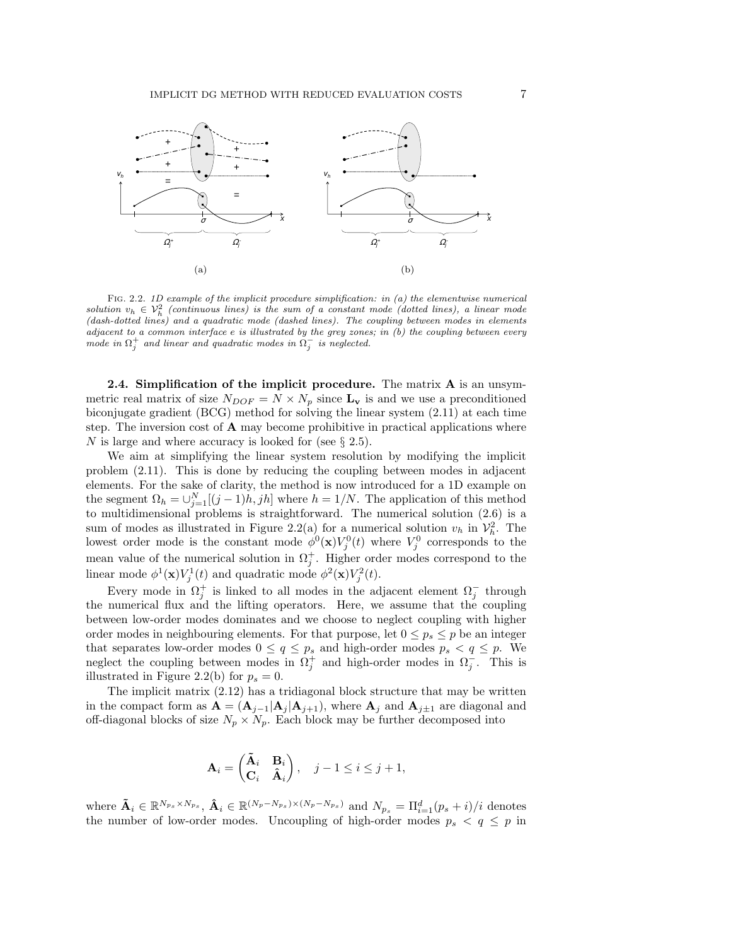

FIG. 2.2. 1D example of the implicit procedure simplification: in  $(a)$  the elementwise numerical solution  $v_h \in V_h^2$  (continuous lines) is the sum of a constant mode (dotted lines), a linear mode (dash-dotted lines) and a quadratic mode (dashed lines). The coupling between modes in elements adjacent to a common interface  $e$  is illustrated by the grey zones; in  $(b)$  the coupling between every  $\overline{m}$  ode in  $\Omega_j^+$  and linear and quadratic modes in  $\Omega_j^-$  is neglected.

2.4. Simplification of the implicit procedure. The matrix A is an unsymmetric real matrix of size  $N_{DOF} = N \times N_p$  since  $L_v$  is and we use a preconditioned biconjugate gradient (BCG) method for solving the linear system (2.11) at each time step. The inversion cost of  $A$  may become prohibitive in practical applications where N is large and where accuracy is looked for (see  $\S 2.5$ ).

We aim at simplifying the linear system resolution by modifying the implicit problem (2.11). This is done by reducing the coupling between modes in adjacent elements. For the sake of clarity, the method is now introduced for a 1D example on the segment  $\Omega_h = \bigcup_{j=1}^N [(j-1)h, jh]$  where  $h = 1/N$ . The application of this method to multidimensional problems is straightforward. The numerical solution (2.6) is a sum of modes as illustrated in Figure 2.2(a) for a numerical solution  $v_h$  in  $\mathcal{V}_h^2$ . The lowest order mode is the constant mode  $\phi^0(\mathbf{x})V_j^0(t)$  where  $V_j^0$  corresponds to the mean value of the numerical solution in  $\Omega_j^+$ . Higher order modes correspond to the linear mode  $\phi^1(\mathbf{x})V_j^1(t)$  and quadratic mode  $\phi^2(\mathbf{x})V_j^2(t)$ .

Every mode in  $\Omega_j^+$  is linked to all modes in the adjacent element  $\Omega_j^-$  through the numerical flux and the lifting operators. Here, we assume that the coupling between low-order modes dominates and we choose to neglect coupling with higher order modes in neighbouring elements. For that purpose, let  $0 \leq p_s \leq p$  be an integer that separates low-order modes  $0 \le q \le p_s$  and high-order modes  $p_s < q \le p$ . We neglect the coupling between modes in  $\Omega_j^+$  and high-order modes in  $\Omega_j^-$ . This is illustrated in Figure 2.2(b) for  $p_s = 0$ .

The implicit matrix (2.12) has a tridiagonal block structure that may be written in the compact form as  $\mathbf{A} = (\mathbf{A}_{j-1}|\mathbf{A}_j|\mathbf{A}_{j+1})$ , where  $\mathbf{A}_j$  and  $\mathbf{A}_{j\pm 1}$  are diagonal and off-diagonal blocks of size  $N_p \times N_p$ . Each block may be further decomposed into

$$
\mathbf{A}_i = \begin{pmatrix} \tilde{\mathbf{A}}_i & \mathbf{B}_i \\ \mathbf{C}_i & \hat{\mathbf{A}}_i \end{pmatrix}, \quad j - 1 \le i \le j + 1,
$$

where  $\mathbf{\tilde{A}}_i \in \mathbb{R}^{N_{ps} \times N_{ps}}$ ,  $\mathbf{\hat{A}}_i \in \mathbb{R}^{(N_p - N_{ps}) \times (N_p - N_{ps})}$  and  $N_{p_s} = \Pi_{i=1}^d (p_s + i)/i$  denotes the number of low-order modes. Uncoupling of high-order modes  $p_s < q \leq p$  in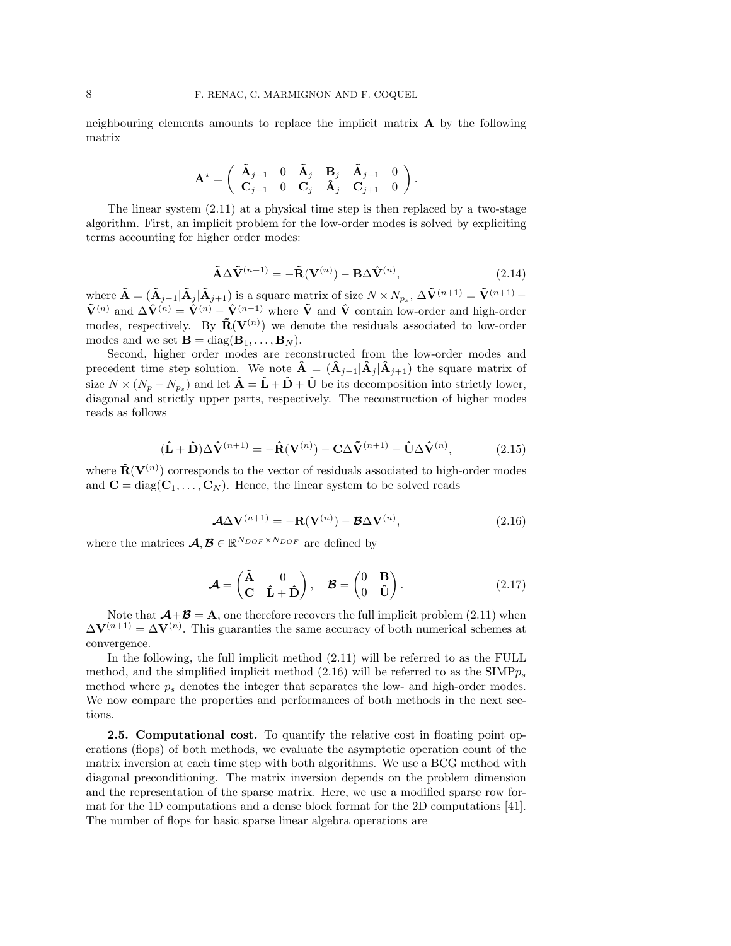neighbouring elements amounts to replace the implicit matrix A by the following matrix

$$
\mathbf{A}^{\star} = \left( \begin{array}{cc} \tilde{\mathbf{A}}_{j-1} & 0 \\ \mathbf{C}_{j-1} & 0 \end{array} \middle| \begin{array}{cc} \tilde{\mathbf{A}}_{j} & \mathbf{B}_{j} \\ \mathbf{C}_{j} & \hat{\mathbf{A}}_{j} \end{array} \middle| \begin{array}{cc} \tilde{\mathbf{A}}_{j+1} & 0 \\ \mathbf{C}_{j+1} & 0 \end{array} \right).
$$

The linear system (2.11) at a physical time step is then replaced by a two-stage algorithm. First, an implicit problem for the low-order modes is solved by expliciting terms accounting for higher order modes:

$$
\tilde{\mathbf{A}} \Delta \tilde{\mathbf{V}}^{(n+1)} = -\tilde{\mathbf{R}}(\mathbf{V}^{(n)}) - \mathbf{B} \Delta \hat{\mathbf{V}}^{(n)},
$$
\n(2.14)

where  $\mathbf{\tilde{A}} = (\mathbf{\tilde{A}}_{j-1} | \mathbf{\tilde{A}}_j | \mathbf{\tilde{A}}_{j+1})$  is a square matrix of size  $N \times N_{p_s}$ ,  $\Delta \mathbf{\tilde{V}}^{(n+1)} = \mathbf{\tilde{V}}^{(n+1)}$  –  $\tilde{\mathbf{V}}^{(n)}$  and  $\Delta \hat{\mathbf{V}}^{(n)} = \hat{\mathbf{V}}^{(n)} - \hat{\mathbf{V}}^{(n-1)}$  where  $\tilde{\mathbf{V}}$  and  $\hat{\mathbf{V}}$  contain low-order and high-order modes, respectively. By  $\tilde{\mathbf{R}}(\mathbf{V}^{(n)})$  we denote the residuals associated to low-order modes and we set  $\mathbf{B} = \text{diag}(\mathbf{B}_1, \dots, \mathbf{B}_N)$ .

Second, higher order modes are reconstructed from the low-order modes and precedent time step solution. We note  $\mathbf{A} = (\mathbf{A}_{j-1}|\mathbf{A}_{j}|\mathbf{A}_{j+1})$  the square matrix of size  $N \times (N_p - N_{p_s})$  and let  $\hat{\mathbf{A}} = \hat{\mathbf{L}} + \hat{\mathbf{D}} + \hat{\mathbf{U}}$  be its decomposition into strictly lower, diagonal and strictly upper parts, respectively. The reconstruction of higher modes reads as follows

$$
(\hat{\mathbf{L}} + \hat{\mathbf{D}}) \Delta \hat{\mathbf{V}}^{(n+1)} = -\hat{\mathbf{R}}(\mathbf{V}^{(n)}) - \mathbf{C} \Delta \tilde{\mathbf{V}}^{(n+1)} - \hat{\mathbf{U}} \Delta \hat{\mathbf{V}}^{(n)},
$$
(2.15)

where  $\hat{\mathbf{R}}(\mathbf{V}^{(n)})$  corresponds to the vector of residuals associated to high-order modes and  $\mathbf{C} = \text{diag}(\mathbf{C}_1, \dots, \mathbf{C}_N)$ . Hence, the linear system to be solved reads

$$
\mathcal{A}\Delta \mathbf{V}^{(n+1)} = -\mathbf{R}(\mathbf{V}^{(n)}) - \mathcal{B}\Delta \mathbf{V}^{(n)},\tag{2.16}
$$

where the matrices  $\mathcal{A}, \mathcal{B} \in \mathbb{R}^{N_{DOF} \times N_{DOF}}$  are defined by

$$
\mathcal{A} = \begin{pmatrix} \tilde{\mathbf{A}} & 0 \\ \mathbf{C} & \hat{\mathbf{L}} + \hat{\mathbf{D}} \end{pmatrix}, \quad \mathcal{B} = \begin{pmatrix} 0 & \mathbf{B} \\ 0 & \hat{\mathbf{U}} \end{pmatrix}.
$$
 (2.17)

Note that  $\mathcal{A}+\mathcal{B}=\mathbf{A}$ , one therefore recovers the full implicit problem (2.11) when  $\Delta V^{(n+1)} = \Delta V^{(n)}$ . This guaranties the same accuracy of both numerical schemes at convergence.

In the following, the full implicit method (2.11) will be referred to as the FULL method, and the simplified implicit method  $(2.16)$  will be referred to as the SIMP $p_s$ method where  $p_s$  denotes the integer that separates the low- and high-order modes. We now compare the properties and performances of both methods in the next sections.

2.5. Computational cost. To quantify the relative cost in floating point operations (flops) of both methods, we evaluate the asymptotic operation count of the matrix inversion at each time step with both algorithms. We use a BCG method with diagonal preconditioning. The matrix inversion depends on the problem dimension and the representation of the sparse matrix. Here, we use a modified sparse row format for the 1D computations and a dense block format for the 2D computations [41]. The number of flops for basic sparse linear algebra operations are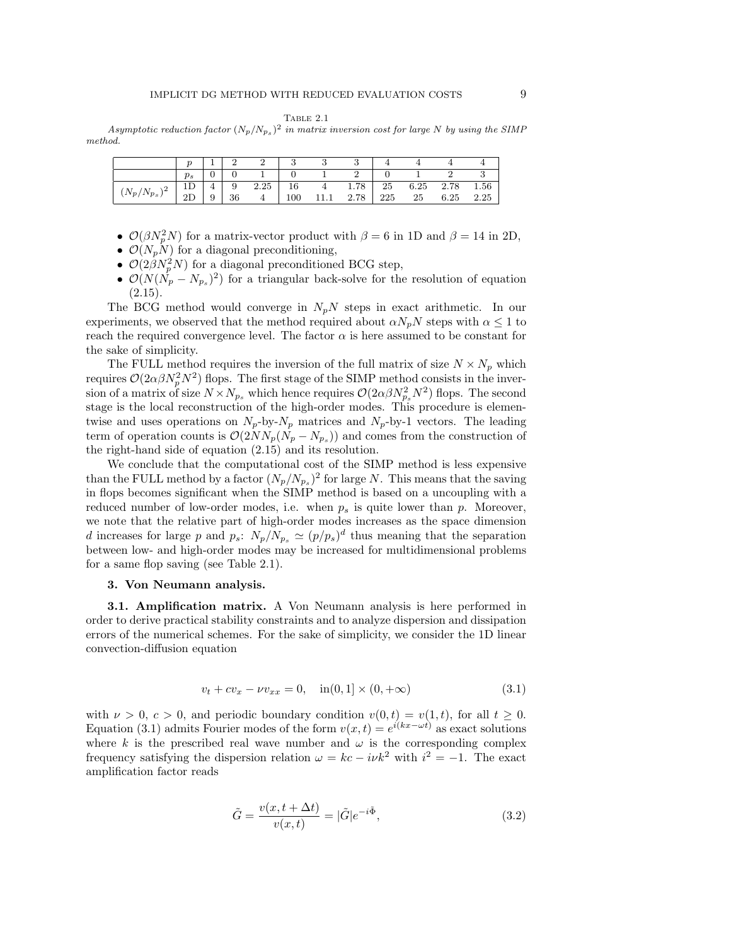Table 2.1

Asymptotic reduction factor  $(N_p/N_{p_s})^2$  in matrix inversion cost for large N by using the SIMP method.

|                       | $p_s$ |   |    |      |     |      |      |     |    |                |      |
|-----------------------|-------|---|----|------|-----|------|------|-----|----|----------------|------|
| ۱2<br>$(N_p/N_{p_s})$ |       | 4 | 9  | 2.25 | 16  | 4    | 1.78 | 25  |    | 6.25 2.78 1.56 |      |
|                       |       | 9 | 36 | 4    | 100 | 11.1 | 2.78 | 225 | 25 | 6.25           | 2.25 |

- $\mathcal{O}(\beta N_p^2 N)$  for a matrix-vector product with  $\beta = 6$  in 1D and  $\beta = 14$  in 2D,
- $\mathcal{O}(N_p\tilde{N})$  for a diagonal preconditioning,
- $\mathcal{O}(2\beta N_p^2 N)$  for a diagonal preconditioned BCG step,
- $\mathcal{O}(N(\dot{N}_p N_{p_s})^2)$  for a triangular back-solve for the resolution of equation  $(2.15).$

The BCG method would converge in  $N_pN$  steps in exact arithmetic. In our experiments, we observed that the method required about  $\alpha N_pN$  steps with  $\alpha \leq 1$  to reach the required convergence level. The factor  $\alpha$  is here assumed to be constant for the sake of simplicity.

The FULL method requires the inversion of the full matrix of size  $N \times N_p$  which requires  $\mathcal{O}(2\alpha\beta N_p^2 N^2)$  flops. The first stage of the SIMP method consists in the inversion of a matrix of size  $N \times N_{p_s}$  which hence requires  $\mathcal{O}(2\alpha\beta N_{p_s}^2 N^2)$  flops. The second stage is the local reconstruction of the high-order modes. This procedure is elementwise and uses operations on  $N_p$ -by- $N_p$  matrices and  $N_p$ -by-1 vectors. The leading term of operation counts is  $\mathcal{O}(2NN_p(N_p-N_{p_s}))$  and comes from the construction of the right-hand side of equation (2.15) and its resolution.

We conclude that the computational cost of the SIMP method is less expensive than the FULL method by a factor  $(N_p/N_{p_s})^2$  for large N. This means that the saving in flops becomes significant when the SIMP method is based on a uncoupling with a reduced number of low-order modes, i.e. when  $p<sub>s</sub>$  is quite lower than p. Moreover, we note that the relative part of high-order modes increases as the space dimension d increases for large p and  $p_s$ :  $N_p/N_{p_s} \simeq (p/p_s)^d$  thus meaning that the separation between low- and high-order modes may be increased for multidimensional problems for a same flop saving (see Table 2.1).

#### 3. Von Neumann analysis.

3.1. Amplification matrix. A Von Neumann analysis is here performed in order to derive practical stability constraints and to analyze dispersion and dissipation errors of the numerical schemes. For the sake of simplicity, we consider the 1D linear convection-diffusion equation

$$
v_t + cv_x - \nu v_{xx} = 0, \quad \text{in}(0,1] \times (0,+\infty) \tag{3.1}
$$

with  $\nu > 0$ ,  $c > 0$ , and periodic boundary condition  $v(0, t) = v(1, t)$ , for all  $t \geq 0$ . Equation (3.1) admits Fourier modes of the form  $v(x,t) = e^{i(kx - \omega t)}$  as exact solutions where k is the prescribed real wave number and  $\omega$  is the corresponding complex frequency satisfying the dispersion relation  $\omega = kc - i\nu k^2$  with  $i^2 = -1$ . The exact amplification factor reads

$$
\tilde{G} = \frac{v(x, t + \Delta t)}{v(x, t)} = |\tilde{G}|e^{-i\tilde{\Phi}},\tag{3.2}
$$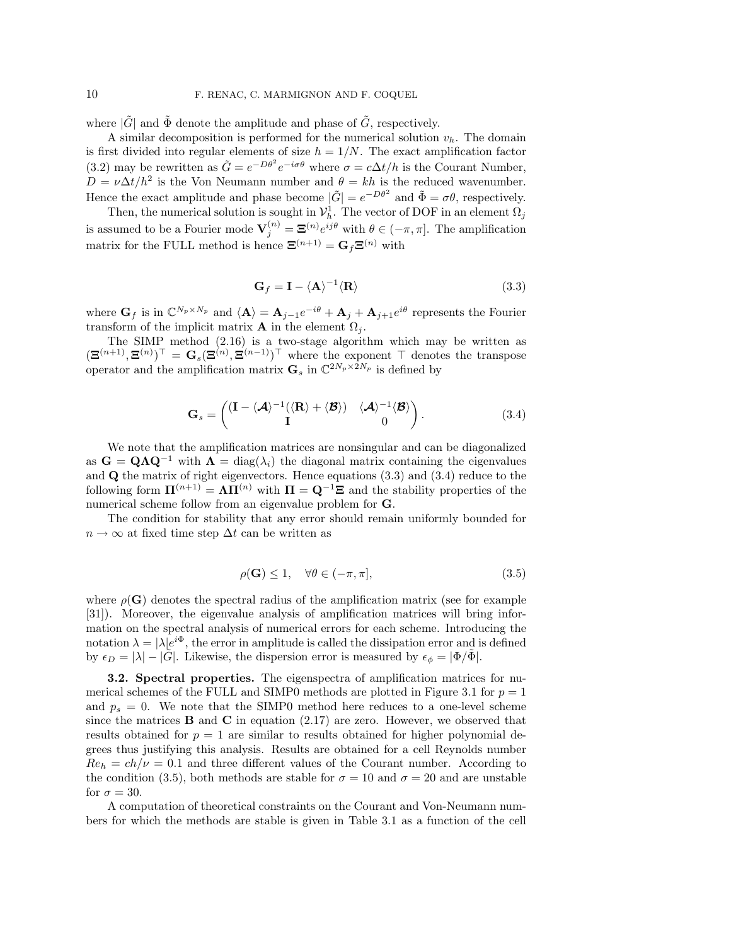where  $|\tilde{G}|$  and  $\tilde{\Phi}$  denote the amplitude and phase of  $\tilde{G}$ , respectively.

A similar decomposition is performed for the numerical solution  $v_h$ . The domain is first divided into regular elements of size  $h = 1/N$ . The exact amplification factor (3.2) may be rewritten as  $\tilde{G} = e^{-D\theta^2} e^{-i\sigma\theta}$  where  $\sigma = c\Delta t/h$  is the Courant Number,  $D = \nu \Delta t / h^2$  is the Von Neumann number and  $\theta = kh$  is the reduced wavenumber. Hence the exact amplitude and phase become  $|\tilde{G}| = e^{-D\theta^2}$  and  $\tilde{\Phi} = \sigma\theta$ , respectively.

Then, the numerical solution is sought in  $\mathcal{V}_h^1$ . The vector of DOF in an element  $\Omega_j$ is assumed to be a Fourier mode  $\mathbf{V}_j^{(n)} = \mathbf{\Xi}^{(n)} e^{ij\theta}$  with  $\theta \in (-\pi, \pi]$ . The amplification matrix for the FULL method is hence  $\mathbf{\Xi}^{(n+1)} = \mathbf{G}_f \mathbf{\Xi}^{(n)}$  with

$$
\mathbf{G}_f = \mathbf{I} - \langle \mathbf{A} \rangle^{-1} \langle \mathbf{R} \rangle \tag{3.3}
$$

where  $G_f$  is in  $\mathbb{C}^{N_p \times N_p}$  and  $\langle \mathbf{A} \rangle = \mathbf{A}_{j-1}e^{-i\theta} + \mathbf{A}_j + \mathbf{A}_{j+1}e^{i\theta}$  represents the Fourier transform of the implicit matrix **A** in the element  $\Omega_i$ .

The SIMP method (2.16) is a two-stage algorithm which may be written as  $(\mathbf{\Xi}^{(n+1)},\mathbf{\Xi}^{(n)})^{\top} = \mathbf{G}_s(\mathbf{\Xi}^{(n)},\mathbf{\Xi}^{(n-1)})^{\top}$  where the exponent  $\top$  denotes the transpose operator and the amplification matrix  $\mathbf{G}_s$  in  $\mathbb{C}^{2N_p \times 2N_p}$  is defined by

$$
\mathbf{G}_s = \begin{pmatrix} (\mathbf{I} - \langle \mathcal{A} \rangle^{-1} (\langle \mathbf{R} \rangle + \langle \mathcal{B} \rangle) & \langle \mathcal{A} \rangle^{-1} \langle \mathcal{B} \rangle \\ \mathbf{I} & 0 \end{pmatrix}.
$$
 (3.4)

We note that the amplification matrices are nonsingular and can be diagonalized as  $G = QAQ^{-1}$  with  $\Lambda = diag(\lambda_i)$  the diagonal matrix containing the eigenvalues and Q the matrix of right eigenvectors. Hence equations (3.3) and (3.4) reduce to the following form  $\Pi^{(n+1)} = \Lambda \Pi^{(n)}$  with  $\Pi = \mathbf{Q}^{-1} \Xi$  and the stability properties of the numerical scheme follow from an eigenvalue problem for G.

The condition for stability that any error should remain uniformly bounded for  $n \to \infty$  at fixed time step  $\Delta t$  can be written as

$$
\rho(\mathbf{G}) \le 1, \quad \forall \theta \in (-\pi, \pi], \tag{3.5}
$$

where  $\rho(\mathbf{G})$  denotes the spectral radius of the amplification matrix (see for example [31]). Moreover, the eigenvalue analysis of amplification matrices will bring information on the spectral analysis of numerical errors for each scheme. Introducing the notation  $\lambda = |\lambda|e^{i\Phi}$ , the error in amplitude is called the dissipation error and is defined by  $\epsilon_D = |\lambda| - |\hat{G}|$ . Likewise, the dispersion error is measured by  $\epsilon_{\phi} = |\Phi/\Phi|$ .

3.2. Spectral properties. The eigenspectra of amplification matrices for numerical schemes of the FULL and SIMP0 methods are plotted in Figure 3.1 for  $p = 1$ and  $p_s = 0$ . We note that the SIMP0 method here reduces to a one-level scheme since the matrices  $\bf{B}$  and  $\bf{C}$  in equation (2.17) are zero. However, we observed that results obtained for  $p = 1$  are similar to results obtained for higher polynomial degrees thus justifying this analysis. Results are obtained for a cell Reynolds number  $Re_h = ch/\nu = 0.1$  and three different values of the Courant number. According to the condition (3.5), both methods are stable for  $\sigma = 10$  and  $\sigma = 20$  and are unstable for  $\sigma = 30$ .

A computation of theoretical constraints on the Courant and Von-Neumann numbers for which the methods are stable is given in Table 3.1 as a function of the cell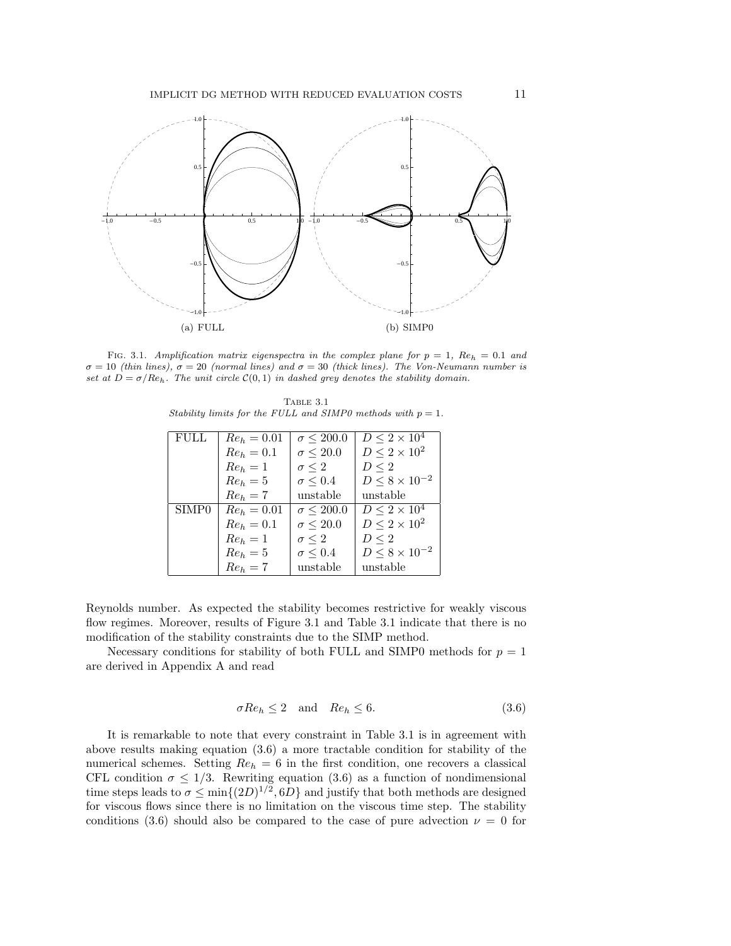

FIG. 3.1. Amplification matrix eigenspectra in the complex plane for  $p = 1$ ,  $Re_h = 0.1$  and  $\sigma = 10$  (thin lines),  $\sigma = 20$  (normal lines) and  $\sigma = 30$  (thick lines). The Von-Neumann number is set at  $D = \sigma/Re_h$ . The unit circle  $\mathcal{C}(0,1)$  in dashed grey denotes the stability domain.

Table 3.1 Stability limits for the FULL and SIMP0 methods with  $p = 1$ .

| <b>FULL</b>       | $Re_h = 0.01$ | $\sigma \leq 200.0$ | $D \leq 2 \times 10^4$   |
|-------------------|---------------|---------------------|--------------------------|
|                   | $Re_h = 0.1$  | $\sigma \leq 20.0$  | $D\leq 2\times 10^2$     |
|                   | $Re_h = 1$    | $\sigma \leq 2$     | $D \leq 2$               |
|                   | $Re_h = 5$    | $\sigma \leq 0.4$   | $D \le 8 \times 10^{-2}$ |
|                   | $Re_h = 7$    | unstable            | unstable                 |
| SIMP <sub>0</sub> | $Re_b = 0.01$ | $\sigma \leq 200.0$ | $D \leq 2 \times 10^4$   |
|                   | $Re_b = 0.1$  | $\sigma \leq 20.0$  | $D \leq 2 \times 10^2$   |
|                   | $Re_h = 1$    | $\sigma \leq 2$     | $D \leq 2$               |
|                   | $Re_b=5$      | $\sigma \leq 0.4$   | $D \le 8 \times 10^{-2}$ |
|                   | $Re_h = 7$    | unstable            | unstable                 |

Reynolds number. As expected the stability becomes restrictive for weakly viscous flow regimes. Moreover, results of Figure 3.1 and Table 3.1 indicate that there is no modification of the stability constraints due to the SIMP method.

Necessary conditions for stability of both FULL and SIMP0 methods for  $p = 1$ are derived in Appendix A and read

$$
\sigma Re_h \le 2 \quad \text{and} \quad Re_h \le 6. \tag{3.6}
$$

It is remarkable to note that every constraint in Table 3.1 is in agreement with above results making equation (3.6) a more tractable condition for stability of the numerical schemes. Setting  $Re_h = 6$  in the first condition, one recovers a classical CFL condition  $\sigma \leq 1/3$ . Rewriting equation (3.6) as a function of nondimensional time steps leads to  $\sigma \le \min\{(2D)^{1/2}, 6D\}$  and justify that both methods are designed for viscous flows since there is no limitation on the viscous time step. The stability conditions (3.6) should also be compared to the case of pure advection  $\nu = 0$  for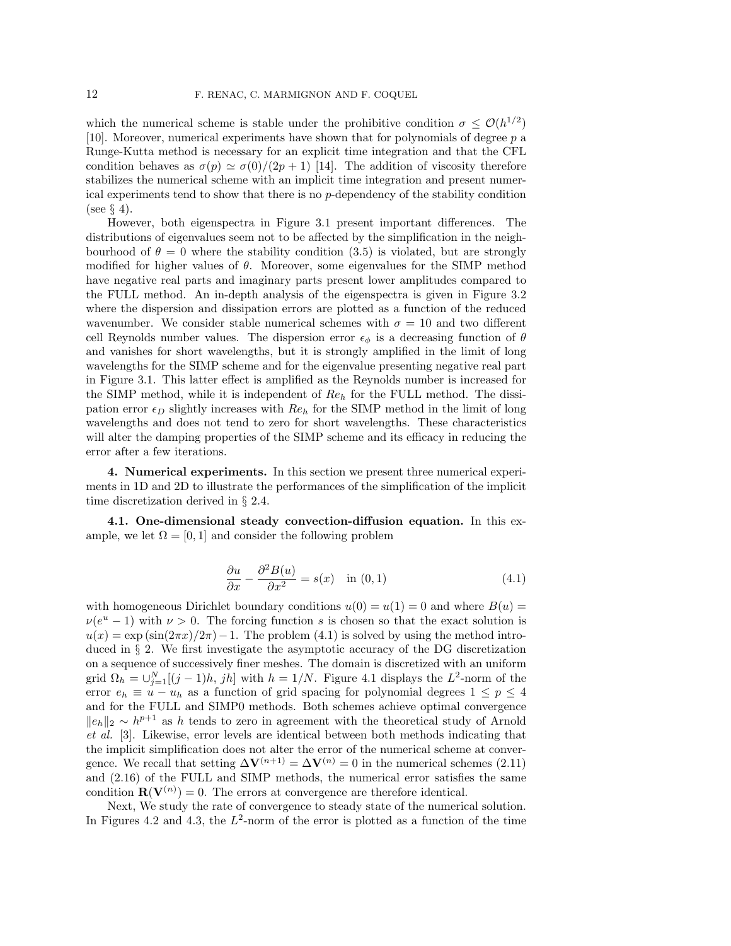which the numerical scheme is stable under the prohibitive condition  $\sigma \leq \mathcal{O}(h^{1/2})$ [10]. Moreover, numerical experiments have shown that for polynomials of degree p a Runge-Kutta method is necessary for an explicit time integration and that the CFL condition behaves as  $\sigma(p) \simeq \sigma(0)/(2p+1)$  [14]. The addition of viscosity therefore stabilizes the numerical scheme with an implicit time integration and present numerical experiments tend to show that there is no  $p$ -dependency of the stability condition (see § 4).

However, both eigenspectra in Figure 3.1 present important differences. The distributions of eigenvalues seem not to be affected by the simplification in the neighbourhood of  $\theta = 0$  where the stability condition (3.5) is violated, but are strongly modified for higher values of  $\theta$ . Moreover, some eigenvalues for the SIMP method have negative real parts and imaginary parts present lower amplitudes compared to the FULL method. An in-depth analysis of the eigenspectra is given in Figure 3.2 where the dispersion and dissipation errors are plotted as a function of the reduced wavenumber. We consider stable numerical schemes with  $\sigma = 10$  and two different cell Reynolds number values. The dispersion error  $\epsilon_{\phi}$  is a decreasing function of  $\theta$ and vanishes for short wavelengths, but it is strongly amplified in the limit of long wavelengths for the SIMP scheme and for the eigenvalue presenting negative real part in Figure 3.1. This latter effect is amplified as the Reynolds number is increased for the SIMP method, while it is independent of  $Re_h$  for the FULL method. The dissipation error  $\epsilon_D$  slightly increases with  $Re_h$  for the SIMP method in the limit of long wavelengths and does not tend to zero for short wavelengths. These characteristics will alter the damping properties of the SIMP scheme and its efficacy in reducing the error after a few iterations.

4. Numerical experiments. In this section we present three numerical experiments in 1D and 2D to illustrate the performances of the simplification of the implicit time discretization derived in § 2.4.

4.1. One-dimensional steady convection-diffusion equation. In this example, we let  $\Omega = [0, 1]$  and consider the following problem

$$
\frac{\partial u}{\partial x} - \frac{\partial^2 B(u)}{\partial x^2} = s(x) \quad \text{in (0,1)}
$$
\n(4.1)

with homogeneous Dirichlet boundary conditions  $u(0) = u(1) = 0$  and where  $B(u) =$  $\nu(e^u - 1)$  with  $\nu > 0$ . The forcing function s is chosen so that the exact solution is  $u(x) = \exp(\sin(2\pi x)/2\pi) - 1$ . The problem (4.1) is solved by using the method introduced in § 2. We first investigate the asymptotic accuracy of the DG discretization on a sequence of successively finer meshes. The domain is discretized with an uniform grid  $\Omega_h = \bigcup_{j=1}^N [(j-1)h, jh]$  with  $h = 1/N$ . Figure 4.1 displays the  $L^2$ -norm of the error  $e_h \equiv u - u_h$  as a function of grid spacing for polynomial degrees  $1 \le p \le 4$ and for the FULL and SIMP0 methods. Both schemes achieve optimal convergence  $||e_h||_2 \sim h^{p+1}$  as h tends to zero in agreement with the theoretical study of Arnold et al. [3]. Likewise, error levels are identical between both methods indicating that the implicit simplification does not alter the error of the numerical scheme at convergence. We recall that setting  $\Delta V^{(n+1)} = \Delta V^{(n)} = 0$  in the numerical schemes (2.11) and (2.16) of the FULL and SIMP methods, the numerical error satisfies the same condition  $\mathbf{R}(\mathbf{V}^{(n)})=0$ . The errors at convergence are therefore identical.

Next, We study the rate of convergence to steady state of the numerical solution. In Figures 4.2 and 4.3, the  $L^2$ -norm of the error is plotted as a function of the time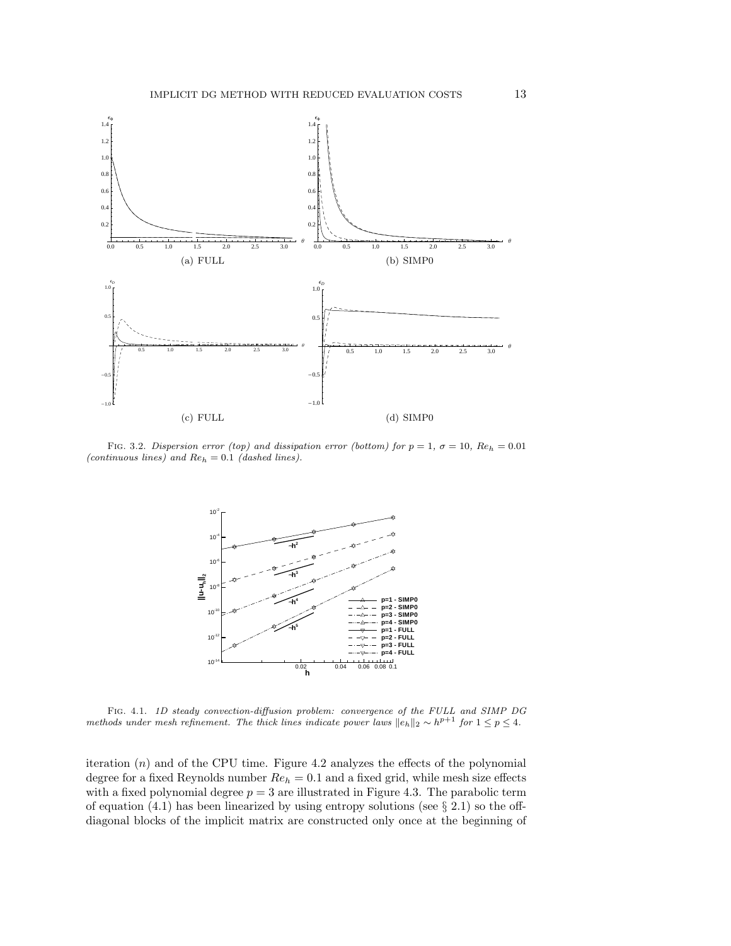

FIG. 3.2. Dispersion error (top) and dissipation error (bottom) for  $p = 1$ ,  $\sigma = 10$ ,  $Re_h = 0.01$ (continuous lines) and  $Re_h = 0.1$  (dashed lines).



Fig. 4.1. 1D steady convection-diffusion problem: convergence of the FULL and SIMP DG methods under mesh refinement. The thick lines indicate power laws  $||e_h||_2 \sim h^{p+1}$  for  $1 \le p \le 4$ .

iteration  $(n)$  and of the CPU time. Figure 4.2 analyzes the effects of the polynomial degree for a fixed Reynolds number  $Re_h = 0.1$  and a fixed grid, while mesh size effects with a fixed polynomial degree  $p = 3$  are illustrated in Figure 4.3. The parabolic term of equation  $(4.1)$  has been linearized by using entropy solutions (see  $\S 2.1$ ) so the offdiagonal blocks of the implicit matrix are constructed only once at the beginning of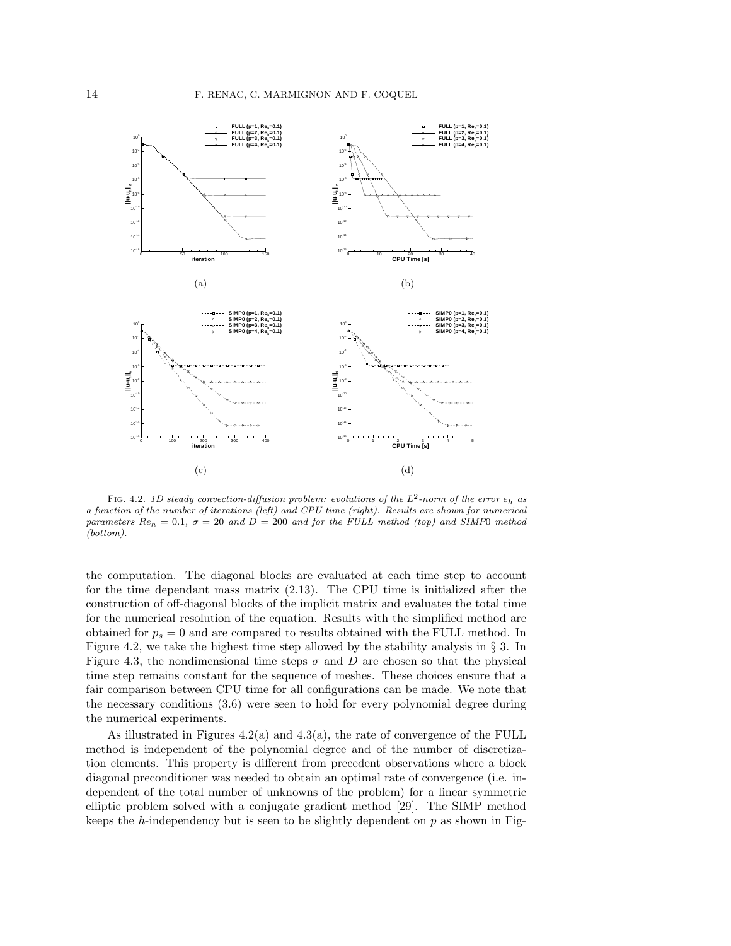

FIG. 4.2. 1D steady convection-diffusion problem: evolutions of the  $L^2$ -norm of the error  $e_h$  as a function of the number of iterations (left) and CPU time (right). Results are shown for numerical parameters  $Re_h = 0.1$ ,  $\sigma = 20$  and  $D = 200$  and for the FULL method (top) and SIMP0 method (bottom).

the computation. The diagonal blocks are evaluated at each time step to account for the time dependant mass matrix (2.13). The CPU time is initialized after the construction of off-diagonal blocks of the implicit matrix and evaluates the total time for the numerical resolution of the equation. Results with the simplified method are obtained for  $p_s = 0$  and are compared to results obtained with the FULL method. In Figure 4.2, we take the highest time step allowed by the stability analysis in  $\S$  3. In Figure 4.3, the nondimensional time steps  $\sigma$  and D are chosen so that the physical time step remains constant for the sequence of meshes. These choices ensure that a fair comparison between CPU time for all configurations can be made. We note that the necessary conditions (3.6) were seen to hold for every polynomial degree during the numerical experiments.

As illustrated in Figures 4.2(a) and 4.3(a), the rate of convergence of the FULL method is independent of the polynomial degree and of the number of discretization elements. This property is different from precedent observations where a block diagonal preconditioner was needed to obtain an optimal rate of convergence (i.e. independent of the total number of unknowns of the problem) for a linear symmetric elliptic problem solved with a conjugate gradient method [29]. The SIMP method keeps the  $h$ -independency but is seen to be slightly dependent on  $p$  as shown in Fig-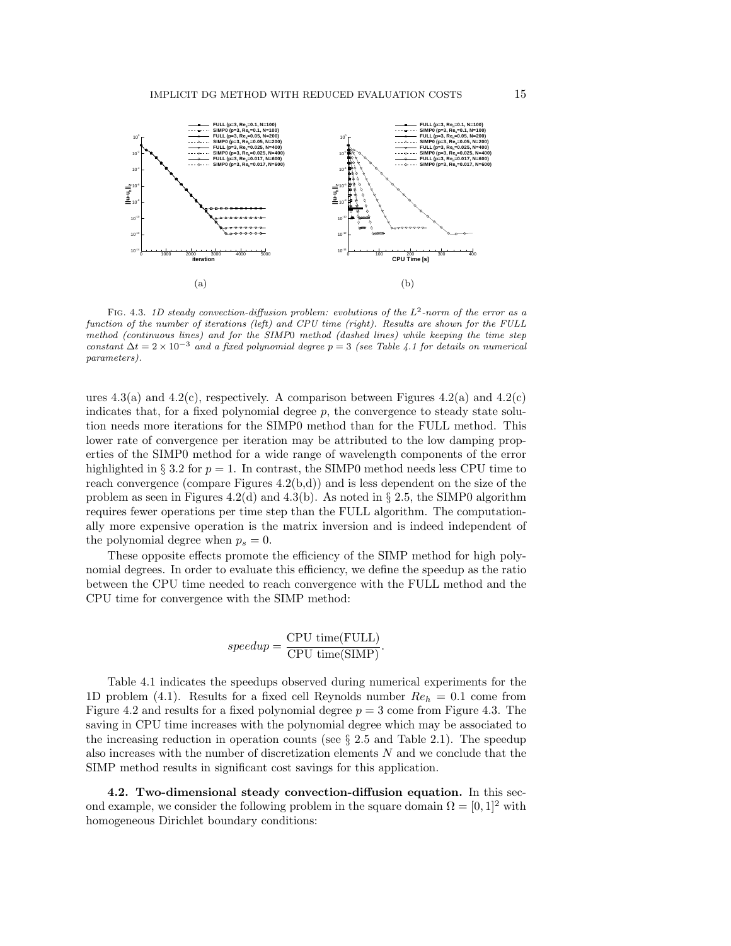

FIG. 4.3. 1D steady convection-diffusion problem: evolutions of the  $L^2$ -norm of the error as a function of the number of iterations (left) and CPU time (right). Results are shown for the FULL method (continuous lines) and for the SIMP0 method (dashed lines) while keeping the time step constant  $\Delta t = 2 \times 10^{-3}$  and a fixed polynomial degree  $p = 3$  (see Table 4.1 for details on numerical parameters).

ures 4.3(a) and 4.2(c), respectively. A comparison between Figures 4.2(a) and 4.2(c) indicates that, for a fixed polynomial degree  $p$ , the convergence to steady state solution needs more iterations for the SIMP0 method than for the FULL method. This lower rate of convergence per iteration may be attributed to the low damping properties of the SIMP0 method for a wide range of wavelength components of the error highlighted in § 3.2 for  $p = 1$ . In contrast, the SIMP0 method needs less CPU time to reach convergence (compare Figures  $(4.2(b,d))$ ) and is less dependent on the size of the problem as seen in Figures 4.2(d) and 4.3(b). As noted in  $\S 2.5$ , the SIMP0 algorithm requires fewer operations per time step than the FULL algorithm. The computationally more expensive operation is the matrix inversion and is indeed independent of the polynomial degree when  $p_s = 0$ .

These opposite effects promote the efficiency of the SIMP method for high polynomial degrees. In order to evaluate this efficiency, we define the speedup as the ratio between the CPU time needed to reach convergence with the FULL method and the CPU time for convergence with the SIMP method:

$$
speedup = \frac{CPU \ time(FULL)}{CPU \ time(SIMP)}.
$$

Table 4.1 indicates the speedups observed during numerical experiments for the 1D problem (4.1). Results for a fixed cell Reynolds number  $Re_h = 0.1$  come from Figure 4.2 and results for a fixed polynomial degree  $p = 3$  come from Figure 4.3. The saving in CPU time increases with the polynomial degree which may be associated to the increasing reduction in operation counts (see  $\S 2.5$  and Table 2.1). The speedup also increases with the number of discretization elements N and we conclude that the SIMP method results in significant cost savings for this application.

4.2. Two-dimensional steady convection-diffusion equation. In this second example, we consider the following problem in the square domain  $\Omega = [0, 1]^2$  with homogeneous Dirichlet boundary conditions: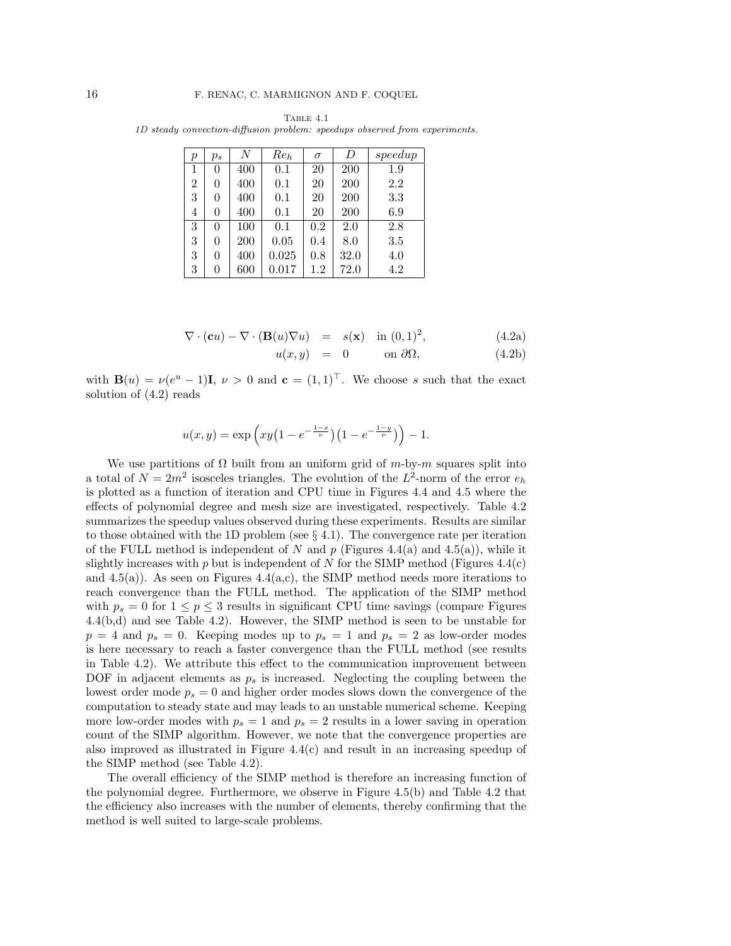| р              | $p_s$ | N   | $Re_h$ | $\sigma$ | D    | speedup |
|----------------|-------|-----|--------|----------|------|---------|
| 1              | 0     | 400 | 0.1    | 20       | 200  | 1.9     |
| $\overline{2}$ | 0     | 400 | 0.1    | 20       | 200  | 2.2     |
| 3              | 0     | 400 | 0.1    | 20       | 200  | 3.3     |
| 4              | 0     | 400 | 0.1    | 20       | 200  | 6.9     |
| 3              | 0     | 100 | 0.1    | 0.2      | 2.0  | 2.8     |
| 3              | 0     | 200 | 0.05   | 0.4      | 8.0  | 3.5     |
| 3              | 0     | 400 | 0.025  | 0.8      | 32.0 | 4.0     |
| 3              |       | 600 | 0.017  | 1.2      | 72.0 | 4.2     |

Table 4.1 1D steady convection-diffusion problem: speedups observed from experiments.

$$
\nabla \cdot (\mathbf{c}u) - \nabla \cdot (\mathbf{B}(u)\nabla u) = s(\mathbf{x}) \text{ in } (0,1)^2,
$$
 (4.2a)

$$
u(x,y) = 0 \qquad \text{on } \partial\Omega,\tag{4.2b}
$$

with  $\mathbf{B}(u) = \nu(e^u - 1)\mathbf{I}, \nu > 0$  and  $\mathbf{c} = (1, 1)^T$ . We choose s such that the exact solution of (4.2) reads

$$
u(x,y) = \exp\left(xy\left(1 - e^{-\frac{1-x}{\nu}}\right)\left(1 - e^{-\frac{1-y}{\nu}}\right)\right) - 1.
$$

We use partitions of  $\Omega$  built from an uniform grid of m-by-m squares split into a total of  $N = 2m^2$  isosceles triangles. The evolution of the L<sup>2</sup>-norm of the error  $e_h$ is plotted as a function of iteration and CPU time in Figures 4.4 and 4.5 where the effects of polynomial degree and mesh size are investigated, respectively. Table 4.2 summarizes the speedup values observed during these experiments. Results are similar to those obtained with the 1D problem (see  $\S 4.1$ ). The convergence rate per iteration of the FULL method is independent of N and p (Figures 4.4(a) and 4.5(a)), while it slightly increases with p but is independent of N for the SIMP method (Figures  $4.4(c)$ ) and  $4.5(a)$ ). As seen on Figures  $4.4(a,c)$ , the SIMP method needs more iterations to reach convergence than the FULL method. The application of the SIMP method with  $p_s = 0$  for  $1 \le p \le 3$  results in significant CPU time savings (compare Figures 4.4(b,d) and see Table 4.2). However, the SIMP method is seen to be unstable for  $p = 4$  and  $p_s = 0$ . Keeping modes up to  $p_s = 1$  and  $p_s = 2$  as low-order modes is here necessary to reach a faster convergence than the FULL method (see results in Table 4.2). We attribute this effect to the communication improvement between DOF in adjacent elements as  $p_s$  is increased. Neglecting the coupling between the lowest order mode  $p_s = 0$  and higher order modes slows down the convergence of the computation to steady state and may leads to an unstable numerical scheme. Keeping more low-order modes with  $p_s = 1$  and  $p_s = 2$  results in a lower saving in operation count of the SIMP algorithm. However, we note that the convergence properties are also improved as illustrated in Figure 4.4(c) and result in an increasing speedup of the SIMP method (see Table 4.2).

The overall efficiency of the SIMP method is therefore an increasing function of the polynomial degree. Furthermore, we observe in Figure 4.5(b) and Table 4.2 that the efficiency also increases with the number of elements, thereby confirming that the method is well suited to large-scale problems.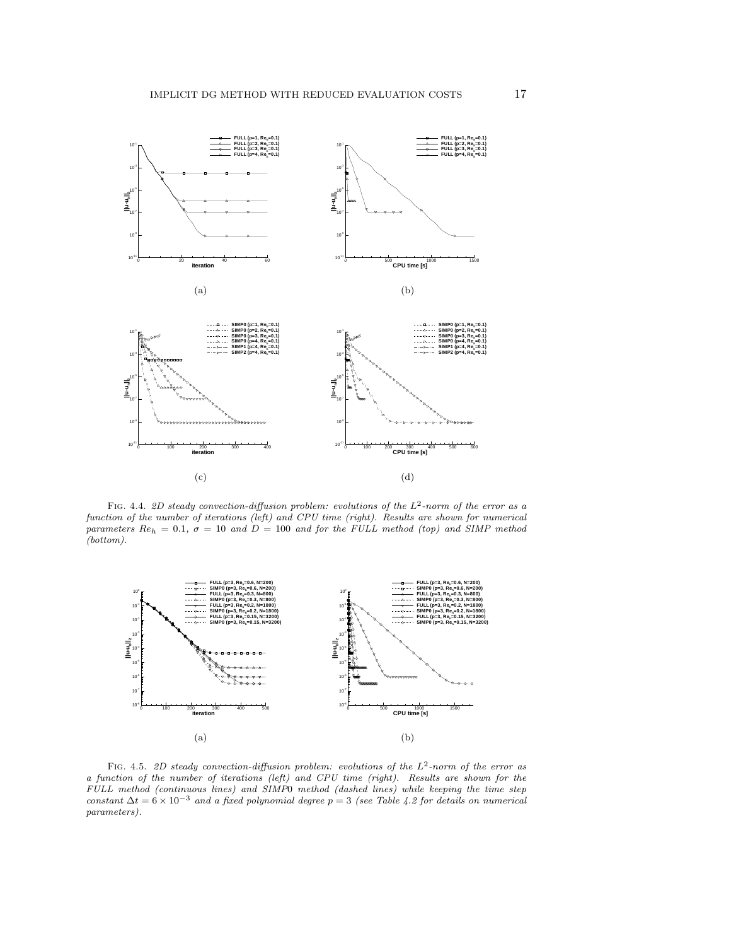

FIG. 4.4. 2D steady convection-diffusion problem: evolutions of the  $L^2$ -norm of the error as a function of the number of iterations (left) and CPU time (right). Results are shown for numerical parameters  $Re_h = 0.1$ ,  $\sigma = 10$  and  $D = 100$  and for the FULL method (top) and SIMP method (bottom).



FIG. 4.5. 2D steady convection-diffusion problem: evolutions of the  $L^2$ -norm of the error as a function of the number of iterations (left) and CPU time (right). Results are shown for the FULL method (continuous lines) and SIMP0 method (dashed lines) while keeping the time step constant  $\Delta t = 6 \times 10^{-3}$  and a fixed polynomial degree  $p = 3$  (see Table 4.2 for details on numerical parameters).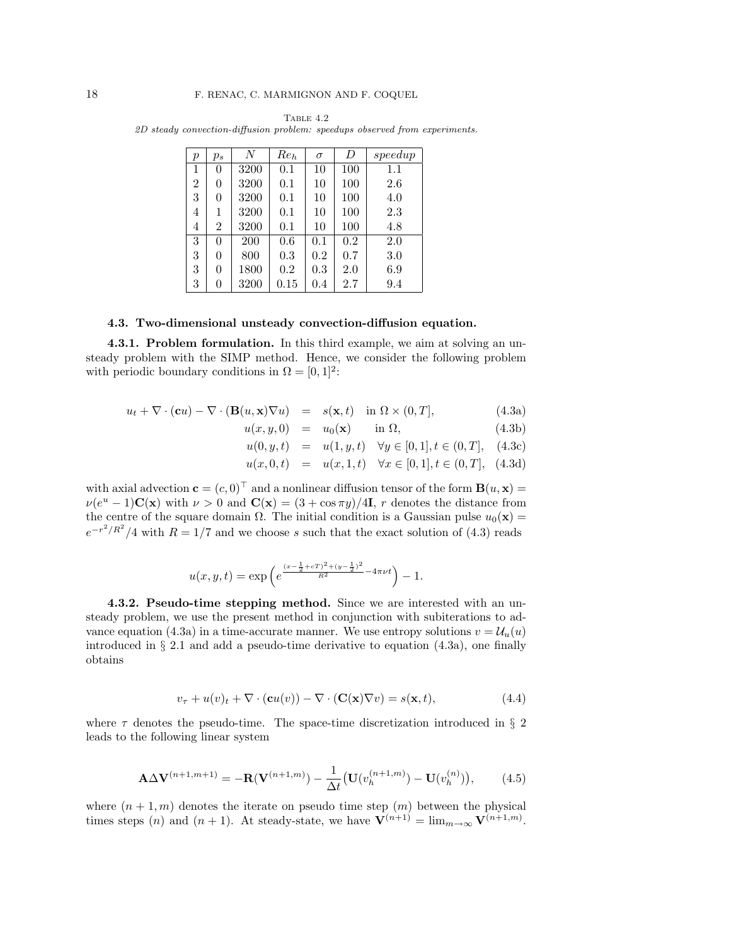| р              | $p_s$          | N    | $Re_h$ | $\sigma$ | D   | speedup |
|----------------|----------------|------|--------|----------|-----|---------|
| 1              | 0              | 3200 | 0.1    | 10       | 100 | 1.1     |
| $\overline{2}$ | $\theta$       | 3200 | 0.1    | 10       | 100 | 2.6     |
| 3              | $\theta$       | 3200 | 0.1    | 10       | 100 | 4.0     |
| 4              | 1              | 3200 | 0.1    | 10       | 100 | 2.3     |
| 4              | $\overline{2}$ | 3200 | 0.1    | 10       | 100 | 4.8     |
| 3              | $\Omega$       | 200  | 0.6    | 0.1      | 0.2 | 2.0     |
| 3              | $\theta$       | 800  | 0.3    | 0.2      | 0.7 | 3.0     |
| 3              | 0              | 1800 | 0.2    | 0.3      | 2.0 | 6.9     |
| 3              | 0              | 3200 | 0.15   | 0.4      | 2.7 | 9.4     |

Table 4.2 2D steady convection-diffusion problem: speedups observed from experiments.

#### 4.3. Two-dimensional unsteady convection-diffusion equation.

4.3.1. Problem formulation. In this third example, we aim at solving an unsteady problem with the SIMP method. Hence, we consider the following problem with periodic boundary conditions in  $\Omega = [0, 1]^2$ :

$$
u_t + \nabla \cdot (\mathbf{c}u) - \nabla \cdot (\mathbf{B}(u, \mathbf{x}) \nabla u) = s(\mathbf{x}, t) \quad \text{in } \Omega \times (0, T], \tag{4.3a}
$$

$$
u(x, y, 0) = u_0(\mathbf{x}) \quad \text{in } \Omega,
$$
 (4.3b)

$$
u(0, y, t) = u(1, y, t) \quad \forall y \in [0, 1], t \in (0, T], \quad (4.3c)
$$

$$
u(x,0,t) = u(x,1,t) \quad \forall x \in [0,1], t \in (0,T], \tag{4.3d}
$$

with axial advection  $\mathbf{c} = (c, 0)^{\top}$  and a nonlinear diffusion tensor of the form  $\mathbf{B}(u, \mathbf{x}) =$  $\nu(e^u - 1)\mathbf{C}(\mathbf{x})$  with  $\nu > 0$  and  $\mathbf{C}(\mathbf{x}) = (3 + \cos \pi y)/4\mathbf{I}$ , r denotes the distance from the centre of the square domain  $\Omega$ . The initial condition is a Gaussian pulse  $u_0(\mathbf{x}) =$  $e^{-r^2/R^2}/4$  with  $R = 1/7$  and we choose s such that the exact solution of (4.3) reads

$$
u(x, y, t) = \exp\left(e^{\frac{(x - \frac{1}{2} + cT)^2 + (y - \frac{1}{2})^2}{R^2} - 4\pi\nu t}\right) - 1.
$$

4.3.2. Pseudo-time stepping method. Since we are interested with an unsteady problem, we use the present method in conjunction with subiterations to advance equation (4.3a) in a time-accurate manner. We use entropy solutions  $v = U_u(u)$ introduced in  $\S 2.1$  and add a pseudo-time derivative to equation  $(4.3a)$ , one finally obtains

$$
v_{\tau} + u(v)_{t} + \nabla \cdot (\mathbf{c}u(v)) - \nabla \cdot (\mathbf{C}(\mathbf{x})\nabla v) = s(\mathbf{x}, t), \qquad (4.4)
$$

where  $\tau$  denotes the pseudo-time. The space-time discretization introduced in § 2 leads to the following linear system

$$
\mathbf{A}\Delta\mathbf{V}^{(n+1,m+1)} = -\mathbf{R}(\mathbf{V}^{(n+1,m)}) - \frac{1}{\Delta t}(\mathbf{U}(v_h^{(n+1,m)}) - \mathbf{U}(v_h^{(n)})),\tag{4.5}
$$

where  $(n + 1, m)$  denotes the iterate on pseudo time step  $(m)$  between the physical times steps (n) and  $(n + 1)$ . At steady-state, we have  $\mathbf{V}^{(n+1)} = \lim_{m \to \infty} \mathbf{V}^{(n+1,m)}$ .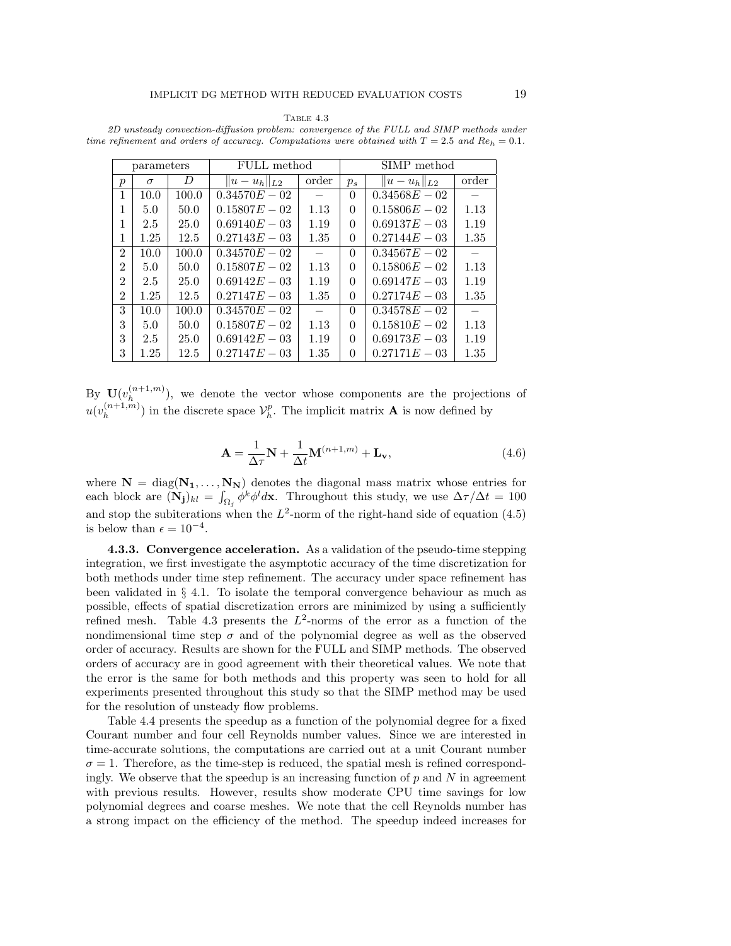|                | parameters |       | FULL method        |               | SIMP method |                  |       |  |
|----------------|------------|-------|--------------------|---------------|-------------|------------------|-------|--|
| $\mathcal{p}$  | $\sigma$   | D     | $  u - u_h  _{L2}$ | order         | $p_s$       | $  u-u_h  _{L2}$ | order |  |
| 1              | 10.0       | 100.0 | $0.34570E - 02$    |               | $\Omega$    | $0.34568E - 02$  |       |  |
| 1              | 5.0        | 50.0  | $0.15807E - 02$    | 1.13          | $\Omega$    | $0.15806E - 02$  | 1.13  |  |
| 1              | 2.5        | 25.0  | $0.69140E - 03$    | 1.19          | $\Omega$    | $0.69137E - 03$  | 1.19  |  |
| 1              | 1.25       | 12.5  | $0.27143E - 03$    | 1.35          | 0           | $0.27144E - 03$  | 1.35  |  |
| $\mathfrak{D}$ | 10.0       | 100.0 | $0.34570E - 02$    | $\frac{1}{2}$ | $\Omega$    | $0.34567E - 02$  |       |  |
| $\overline{2}$ | 5.0        | 50.0  | $0.15807E - 02$    | 1.13          | $\Omega$    | $0.15806E - 02$  | 1.13  |  |
| $\mathfrak{D}$ | 2.5        | 25.0  | $0.69142E - 03$    | 1.19          | $\Omega$    | $0.69147E - 03$  | 1.19  |  |
| $\mathfrak{D}$ | 1.25       | 12.5  | $0.27147E - 03$    | 1.35          | 0           | $0.27174E - 03$  | 1.35  |  |
| 3              | 10.0       | 100.0 | $0.34570E - 02$    |               | $\Omega$    | $0.34578E - 02$  |       |  |
| 3              | 5.0        | 50.0  | $0.15807E - 02$    | 1.13          | $\Omega$    | $0.15810E - 02$  | 1.13  |  |
| 3              | 2.5        | 25.0  | $0.69142E - 03$    | 1.19          | $\Omega$    | $0.69173E - 03$  | 1.19  |  |
| 3              | $1.25\,$   | 12.5  | $0.27147E - 03$    | 1.35          | 0           | $0.27171E - 03$  | 1.35  |  |

Table 4.3 2D unsteady convection-diffusion problem: convergence of the FULL and SIMP methods under time refinement and orders of accuracy. Computations were obtained with  $T = 2.5$  and  $Re_h = 0.1$ .

By  $\mathbf{U}(v_h^{(n+1,m)})$  $\binom{n+1,m}{h}$ , we denote the vector whose components are the projections of  $u(v_h^{(n+1,m)})$  $\binom{(n+1,m)}{h}$  in the discrete space  $\mathcal{V}_h^p$ . The implicit matrix **A** is now defined by

$$
\mathbf{A} = \frac{1}{\Delta \tau} \mathbf{N} + \frac{1}{\Delta t} \mathbf{M}^{(n+1,m)} + \mathbf{L}_{\mathbf{v}},
$$
(4.6)

where  $N = diag(N_1, ..., N_N)$  denotes the diagonal mass matrix whose entries for each block are  $(N_j)_{kl} = \int_{\Omega_j} \phi^k \phi^l d\mathbf{x}$ . Throughout this study, we use  $\Delta \tau / \Delta t = 100$ and stop the subiterations when the  $L^2$ -norm of the right-hand side of equation (4.5) is below than  $\epsilon = 10^{-4}$ .

4.3.3. Convergence acceleration. As a validation of the pseudo-time stepping integration, we first investigate the asymptotic accuracy of the time discretization for both methods under time step refinement. The accuracy under space refinement has been validated in § 4.1. To isolate the temporal convergence behaviour as much as possible, effects of spatial discretization errors are minimized by using a sufficiently refined mesh. Table 4.3 presents the  $L^2$ -norms of the error as a function of the nondimensional time step  $\sigma$  and of the polynomial degree as well as the observed order of accuracy. Results are shown for the FULL and SIMP methods. The observed orders of accuracy are in good agreement with their theoretical values. We note that the error is the same for both methods and this property was seen to hold for all experiments presented throughout this study so that the SIMP method may be used for the resolution of unsteady flow problems.

Table 4.4 presents the speedup as a function of the polynomial degree for a fixed Courant number and four cell Reynolds number values. Since we are interested in time-accurate solutions, the computations are carried out at a unit Courant number  $\sigma = 1$ . Therefore, as the time-step is reduced, the spatial mesh is refined correspondingly. We observe that the speedup is an increasing function of  $p$  and  $N$  in agreement with previous results. However, results show moderate CPU time savings for low polynomial degrees and coarse meshes. We note that the cell Reynolds number has a strong impact on the efficiency of the method. The speedup indeed increases for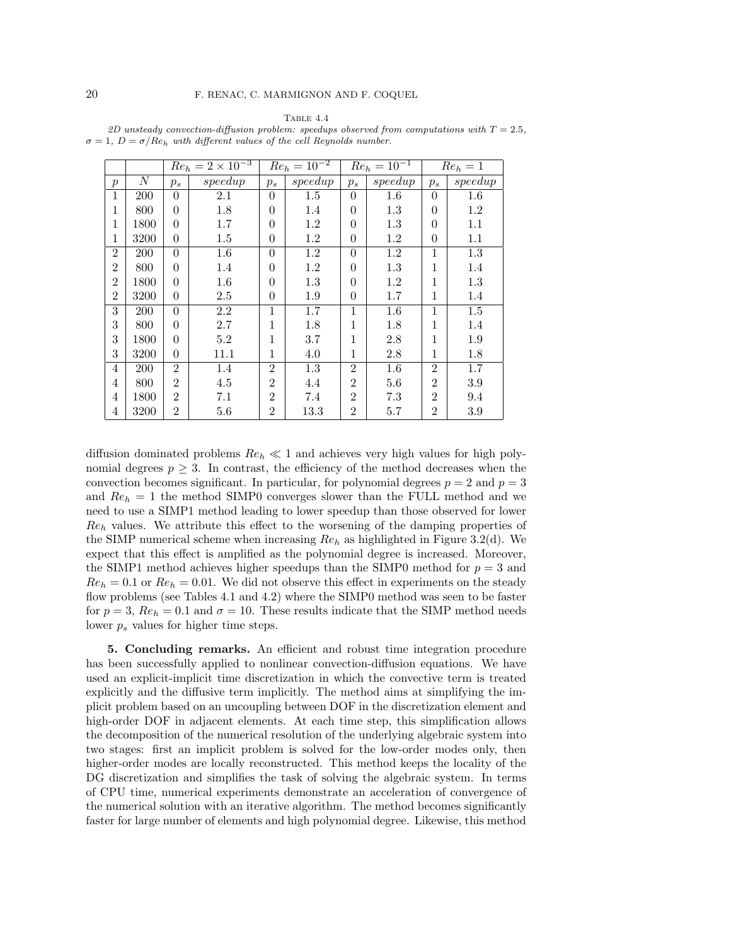TABLE  $4.4$ 

| 2D unsteady convection-diffusion problem: speedups observed from computations with $T = 2.5$ , |  |  |
|------------------------------------------------------------------------------------------------|--|--|
| $\sigma = 1, D = \sigma/Re_h$ with different values of the cell Reynolds number.               |  |  |

|                  |      | $Re_h = 2 \times 10^{-3}$ |         |                | $Re_h = 10^{-2}$ | $Re_h = 10^{-1}$ |         | $Re_h = 1$     |         |
|------------------|------|---------------------------|---------|----------------|------------------|------------------|---------|----------------|---------|
| $\boldsymbol{p}$ | N    | $p_s$                     | speedup | $p_s$          | speedup          | $p_s$            | speedup | $p_s$          | speedup |
| 1                | 200  | $\theta$                  | 2.1     | $\theta$       | 1.5              | $\theta$         | $1.6\,$ | $\Omega$       | $1.6\,$ |
| 1                | 800  | $\theta$                  | 1.8     | $\theta$       | 1.4              | 0                | $1.3\,$ | $\theta$       | 1.2     |
| 1                | 1800 | $\theta$                  | 1.7     | $\theta$       | 1.2              | 0                | 1.3     | $\theta$       | 1.1     |
| 1                | 3200 | $\theta$                  | 1.5     | 0              | 1.2              | 0                | $1.2\,$ | $\theta$       | 1.1     |
| $\overline{2}$   | 200  | $\theta$                  | $1.6\,$ | $\theta$       | 1.2              | $\theta$         | 1.2     | 1              | 1.3     |
| $\overline{2}$   | 800  | $\Omega$                  | 1.4     | $\theta$       | $1.2\,$          | $\Omega$         | 1.3     | 1              | 1.4     |
| $\overline{2}$   | 1800 | $\Omega$                  | 1.6     | $\theta$       | 1.3              | $\Omega$         | 1.2     | 1              | 1.3     |
| $\overline{2}$   | 3200 | $\theta$                  | 2.5     | $\theta$       | 1.9              | $\theta$         | 1.7     | 1              | 1.4     |
| 3                | 200  | $\theta$                  | 2.2     | 1              | 1.7              | 1                | 1.6     | 1              | 1.5     |
| 3                | 800  | $\Omega$                  | 2.7     | 1              | 1.8              | 1                | 1.8     | 1              | 1.4     |
| 3                | 1800 | $\Omega$                  | 5.2     | 1              | 3.7              | 1                | 2.8     | 1              | 1.9     |
| 3                | 3200 | $\theta$                  | 11.1    | 1              | 4.0              | 1                | 2.8     | 1              | 1.8     |
| $\overline{4}$   | 200  | $\mathcal{D}$             | 1.4     | $\overline{2}$ | 1.3              | $\overline{2}$   | 1.6     | $\overline{2}$ | 1.7     |
| 4                | 800  | $\overline{2}$            | 4.5     | $\overline{2}$ | 4.4              | $\overline{2}$   | 5.6     | $\overline{2}$ | 3.9     |
| 4                | 1800 | 2                         | 7.1     | $\overline{2}$ | 7.4              | $\overline{2}$   | 7.3     | $\overline{2}$ | 9.4     |
| 4                | 3200 | $\overline{2}$            | $5.6\,$ | $\overline{2}$ | 13.3             | $\overline{2}$   | 5.7     | $\overline{2}$ | 3.9     |

diffusion dominated problems  $Re_h \ll 1$  and achieves very high values for high polynomial degrees  $p \geq 3$ . In contrast, the efficiency of the method decreases when the convection becomes significant. In particular, for polynomial degrees  $p = 2$  and  $p = 3$ and  $Re_h = 1$  the method SIMP0 converges slower than the FULL method and we need to use a SIMP1 method leading to lower speedup than those observed for lower  $Re_h$  values. We attribute this effect to the worsening of the damping properties of the SIMP numerical scheme when increasing  $Re_h$  as highlighted in Figure 3.2(d). We expect that this effect is amplified as the polynomial degree is increased. Moreover, the SIMP1 method achieves higher speedups than the SIMP0 method for  $p = 3$  and  $Re_h = 0.1$  or  $Re_h = 0.01$ . We did not observe this effect in experiments on the steady flow problems (see Tables 4.1 and 4.2) where the SIMP0 method was seen to be faster for  $p = 3$ ,  $Re_h = 0.1$  and  $\sigma = 10$ . These results indicate that the SIMP method needs lower  $p_s$  values for higher time steps.

5. Concluding remarks. An efficient and robust time integration procedure has been successfully applied to nonlinear convection-diffusion equations. We have used an explicit-implicit time discretization in which the convective term is treated explicitly and the diffusive term implicitly. The method aims at simplifying the implicit problem based on an uncoupling between DOF in the discretization element and high-order DOF in adjacent elements. At each time step, this simplification allows the decomposition of the numerical resolution of the underlying algebraic system into two stages: first an implicit problem is solved for the low-order modes only, then higher-order modes are locally reconstructed. This method keeps the locality of the DG discretization and simplifies the task of solving the algebraic system. In terms of CPU time, numerical experiments demonstrate an acceleration of convergence of the numerical solution with an iterative algorithm. The method becomes significantly faster for large number of elements and high polynomial degree. Likewise, this method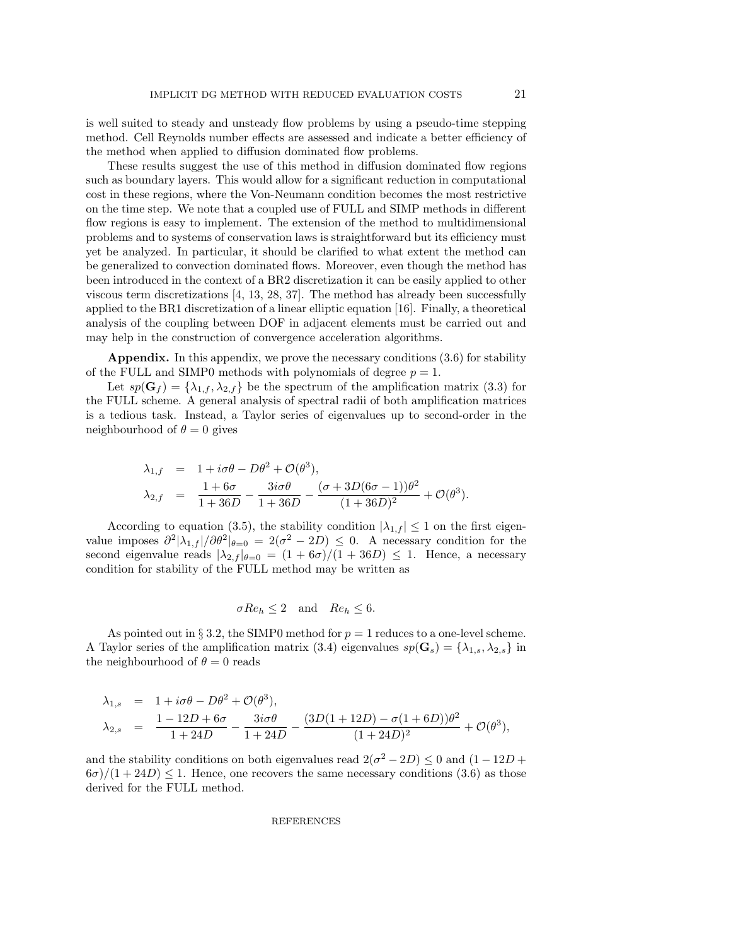is well suited to steady and unsteady flow problems by using a pseudo-time stepping method. Cell Reynolds number effects are assessed and indicate a better efficiency of the method when applied to diffusion dominated flow problems.

These results suggest the use of this method in diffusion dominated flow regions such as boundary layers. This would allow for a significant reduction in computational cost in these regions, where the Von-Neumann condition becomes the most restrictive on the time step. We note that a coupled use of FULL and SIMP methods in different flow regions is easy to implement. The extension of the method to multidimensional problems and to systems of conservation laws is straightforward but its efficiency must yet be analyzed. In particular, it should be clarified to what extent the method can be generalized to convection dominated flows. Moreover, even though the method has been introduced in the context of a BR2 discretization it can be easily applied to other viscous term discretizations [4, 13, 28, 37]. The method has already been successfully applied to the BR1 discretization of a linear elliptic equation [16]. Finally, a theoretical analysis of the coupling between DOF in adjacent elements must be carried out and may help in the construction of convergence acceleration algorithms.

Appendix. In this appendix, we prove the necessary conditions (3.6) for stability of the FULL and SIMP0 methods with polynomials of degree  $p = 1$ .

Let  $sp(\mathbf{G}_f) = {\lambda_{1,f}, \lambda_{2,f}}$  be the spectrum of the amplification matrix (3.3) for the FULL scheme. A general analysis of spectral radii of both amplification matrices is a tedious task. Instead, a Taylor series of eigenvalues up to second-order in the neighbourhood of  $\theta = 0$  gives

$$
\begin{array}{rcl} \lambda_{1,f} & = & 1 + i\sigma\theta - D\theta^2 + \mathcal{O}(\theta^3), \\[2ex] \lambda_{2,f} & = & \frac{1 + 6\sigma}{1 + 36D} - \frac{3i\sigma\theta}{1 + 36D} - \frac{(\sigma + 3D(6\sigma - 1))\theta^2}{(1 + 36D)^2} + \mathcal{O}(\theta^3). \end{array}
$$

According to equation (3.5), the stability condition  $|\lambda_{1,f}| \leq 1$  on the first eigenvalue imposes  $\partial^2 |\lambda_{1,f}| / \partial \theta^2|_{\theta=0} = 2(\sigma^2 - 2D) \leq 0$ . A necessary condition for the second eigenvalue reads  $|\lambda_{2,f}|_{\theta=0} = (1+6\sigma)/(1+36D) \leq 1$ . Hence, a necessary condition for stability of the FULL method may be written as

$$
\sigma Re_h \le 2 \quad \text{and} \quad Re_h \le 6.
$$

As pointed out in § 3.2, the SIMP0 method for  $p = 1$  reduces to a one-level scheme. A Taylor series of the amplification matrix (3.4) eigenvalues  $sp(\mathbf{G}_s) = {\lambda_{1,s}, \lambda_{2,s}}$  in the neighbourhood of  $\theta = 0$  reads

$$
\lambda_{1,s} = 1 + i\sigma\theta - D\theta^2 + \mathcal{O}(\theta^3),
$$
  
\n
$$
\lambda_{2,s} = \frac{1 - 12D + 6\sigma}{1 + 24D} - \frac{3i\sigma\theta}{1 + 24D} - \frac{(3D(1 + 12D) - \sigma(1 + 6D))\theta^2}{(1 + 24D)^2} + \mathcal{O}(\theta^3),
$$

and the stability conditions on both eigenvalues read  $2(\sigma^2 - 2D) \le 0$  and  $(1 - 12D +$  $(6\sigma)/(1+24D) \leq 1$ . Hence, one recovers the same necessary conditions (3.6) as those derived for the FULL method.

#### **REFERENCES**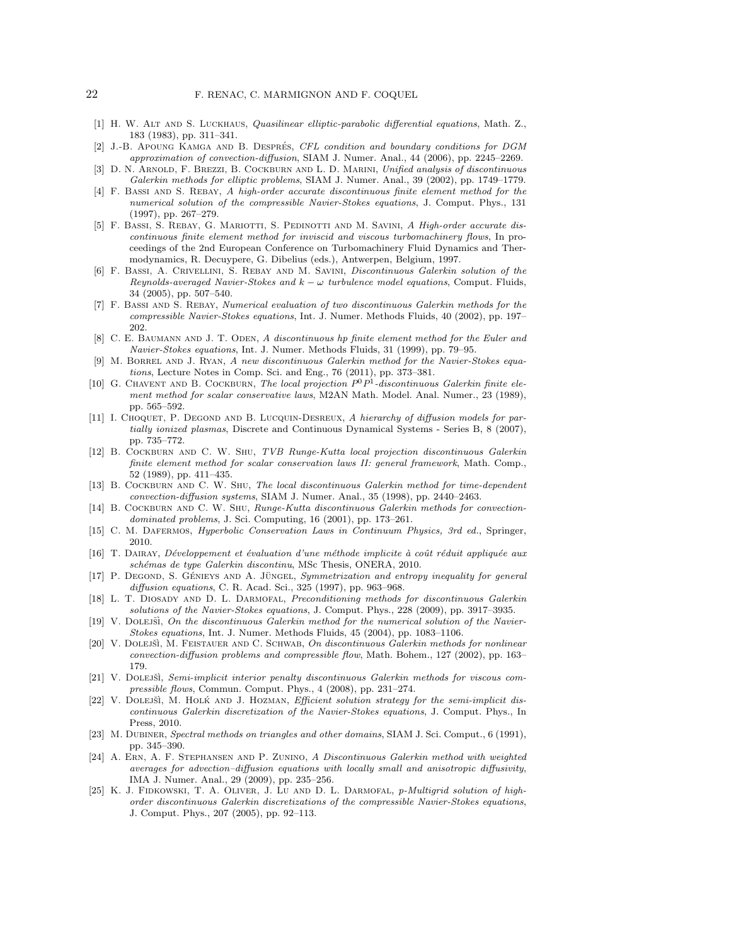- [1] H. W. ALT AND S. LUCKHAUS, Quasilinear elliptic-parabolic differential equations, Math. Z., 183 (1983), pp. 311–341.
- [2] J.-B. APOUNG KAMGA AND B. DESPRÉS, CFL condition and boundary conditions for DGM approximation of convection-diffusion, SIAM J. Numer. Anal., 44 (2006), pp. 2245–2269.
- [3] D. N. ARNOLD, F. BREZZI, B. COCKBURN AND L. D. MARINI, Unified analysis of discontinuous Galerkin methods for elliptic problems, SIAM J. Numer. Anal., 39 (2002), pp. 1749–1779.
- [4] F. Bassi and S. Rebay, A high-order accurate discontinuous finite element method for the numerical solution of the compressible Navier-Stokes equations, J. Comput. Phys., 131 (1997), pp. 267–279.
- [5] F. BASSI, S. REBAY, G. MARIOTTI, S. PEDINOTTI AND M. SAVINI, A High-order accurate discontinuous finite element method for inviscid and viscous turbomachinery flows, In proceedings of the 2nd European Conference on Turbomachinery Fluid Dynamics and Thermodynamics, R. Decuypere, G. Dibelius (eds.), Antwerpen, Belgium, 1997.
- [6] F. Bassi, A. Crivellini, S. Rebay and M. Savini, Discontinuous Galerkin solution of the Reynolds-averaged Navier-Stokes and  $k - \omega$  turbulence model equations, Comput. Fluids, 34 (2005), pp. 507–540.
- [7] F. Bassi and S. Rebay, Numerical evaluation of two discontinuous Galerkin methods for the compressible Navier-Stokes equations, Int. J. Numer. Methods Fluids, 40 (2002), pp. 197– 202.
- [8] C. E. BAUMANN AND J. T. ODEN, A discontinuous hp finite element method for the Euler and Navier-Stokes equations, Int. J. Numer. Methods Fluids, 31 (1999), pp. 79–95.
- [9] M. Borrel and J. Ryan, A new discontinuous Galerkin method for the Navier-Stokes equations, Lecture Notes in Comp. Sci. and Eng., 76 (2011), pp. 373–381.
- [10] G. CHAVENT AND B. COCKBURN, The local projection  $P^0P^1$ -discontinuous Galerkin finite element method for scalar conservative laws, M2AN Math. Model. Anal. Numer., 23 (1989), pp. 565–592.
- [11] I. CHOQUET, P. DEGOND AND B. LUCQUIN-DESREUX, A hierarchy of diffusion models for partially ionized plasmas, Discrete and Continuous Dynamical Systems - Series B, 8 (2007), pp. 735–772.
- [12] B. Cockburn and C. W. Shu, TVB Runge-Kutta local projection discontinuous Galerkin finite element method for scalar conservation laws II: general framework, Math. Comp., 52 (1989), pp. 411–435.
- [13] B. COCKBURN AND C. W. SHU, The local discontinuous Galerkin method for time-dependent convection-diffusion systems, SIAM J. Numer. Anal., 35 (1998), pp. 2440–2463.
- [14] B. COCKBURN AND C. W. SHU, Runge-Kutta discontinuous Galerkin methods for convectiondominated problems, J. Sci. Computing, 16 (2001), pp. 173–261.
- [15] C. M. DAFERMOS, *Hyperbolic Conservation Laws in Continuum Physics, 3rd ed.*, Springer, 2010.
- [16] T. DAIRAY, Développement et évaluation d'une méthode implicite à coût réduit appliquée aux schémas de type Galerkin discontinu, MSc Thesis, ONERA, 2010.
- [17] P. DEGOND, S. GÉNIEYS AND A. JÜNGEL, Symmetrization and entropy inequality for general diffusion equations, C. R. Acad. Sci., 325 (1997), pp. 963–968.
- [18] L. T. DIOSADY AND D. L. DARMOFAL, Preconditioning methods for discontinuous Galerkin solutions of the Navier-Stokes equations, J. Comput. Phys., 228 (2009), pp. 3917–3935.
- $[19]$  V. Doletsii, On the discontinuous Galerkin method for the numerical solution of the Navier-Stokes equations, Int. J. Numer. Methods Fluids, 45 (2004), pp. 1083–1106.
- [20] V. DOLEJŠÌ, M. FEISTAUER AND C. SCHWAB, On discontinuous Galerkin methods for nonlinear convection-diffusion problems and compressible flow, Math. Bohem., 127 (2002), pp. 163– 179.
- [21] V. DOLEJŠÌ, Semi-implicit interior penalty discontinuous Galerkin methods for viscous compressible flows, Commun. Comput. Phys., 4 (2008), pp. 231–274.
- [22] V. DOLEJŠÌ, M. HOLK AND J. HOZMAN, *Efficient solution strategy for the semi-implicit dis*continuous Galerkin discretization of the Navier-Stokes equations, J. Comput. Phys., In Press, 2010.
- [23] M. DUBINER, Spectral methods on triangles and other domains, SIAM J. Sci. Comput., 6 (1991), pp. 345–390.
- [24] A. Ern, A. F. Stephansen and P. Zunino, A Discontinuous Galerkin method with weighted averages for advection–diffusion equations with locally small and anisotropic diffusivity, IMA J. Numer. Anal., 29 (2009), pp. 235–256.
- [25] K. J. FIDKOWSKI, T. A. OLIVER, J. LU AND D. L. DARMOFAL, p-Multigrid solution of highorder discontinuous Galerkin discretizations of the compressible Navier-Stokes equations, J. Comput. Phys., 207 (2005), pp. 92–113.